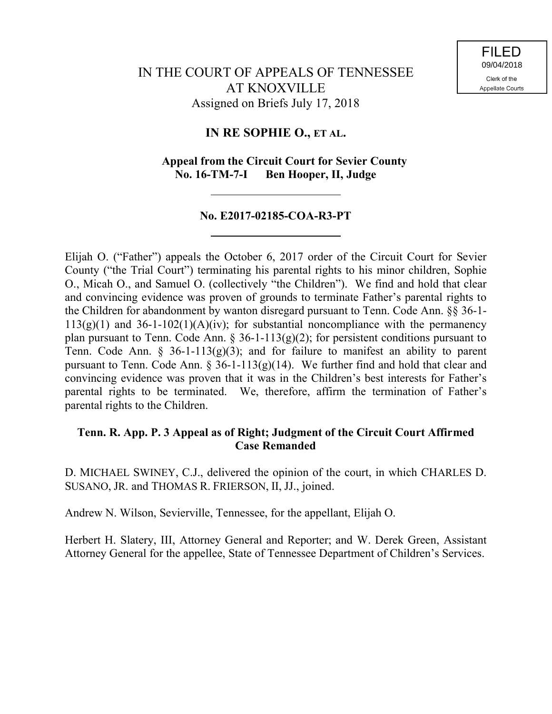# **IN RE SOPHIE O., ET AL.**

# **Appeal from the Circuit Court for Sevier County No. 16-TM-7-I Ben Hooper, II, Judge**

## **No. E2017-02185-COA-R3-PT**

Elijah O. ("Father") appeals the October 6, 2017 order of the Circuit Court for Sevier County ("the Trial Court") terminating his parental rights to his minor children, Sophie O., Micah O., and Samuel O. (collectively "the Children"). We find and hold that clear and convincing evidence was proven of grounds to terminate Father's parental rights to the Children for abandonment by wanton disregard pursuant to Tenn. Code Ann. §§ 36-1-  $113(g)(1)$  and  $36-1-102(1)(A)(iv)$ ; for substantial noncompliance with the permanency plan pursuant to Tenn. Code Ann.  $\S$  36-1-113(g)(2); for persistent conditions pursuant to Tenn. Code Ann. § 36-1-113(g)(3); and for failure to manifest an ability to parent pursuant to Tenn. Code Ann. § 36-1-113(g)(14). We further find and hold that clear and convincing evidence was proven that it was in the Children's best interests for Father's parental rights to be terminated. We, therefore, affirm the termination of Father's parental rights to the Children.

## **Tenn. R. App. P. 3 Appeal as of Right; Judgment of the Circuit Court Affirmed Case Remanded**

D. MICHAEL SWINEY, C.J., delivered the opinion of the court, in which CHARLES D. SUSANO, JR. and THOMAS R. FRIERSON, II, JJ., joined.

Andrew N. Wilson, Sevierville, Tennessee, for the appellant, Elijah O.

Herbert H. Slatery, III, Attorney General and Reporter; and W. Derek Green, Assistant Attorney General for the appellee, State of Tennessee Department of Children's Services.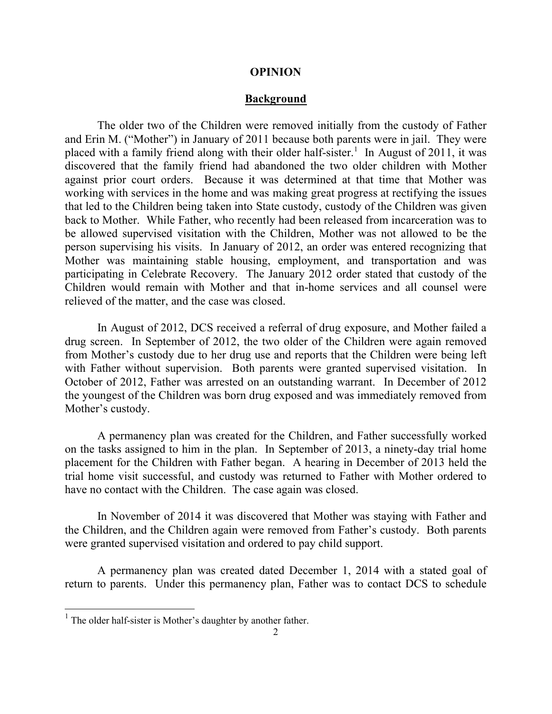#### **OPINION**

#### **Background**

The older two of the Children were removed initially from the custody of Father and Erin M. ("Mother") in January of 2011 because both parents were in jail. They were placed with a family friend along with their older half-sister.<sup>1</sup> In August of 2011, it was discovered that the family friend had abandoned the two older children with Mother against prior court orders. Because it was determined at that time that Mother was working with services in the home and was making great progress at rectifying the issues that led to the Children being taken into State custody, custody of the Children was given back to Mother. While Father, who recently had been released from incarceration was to be allowed supervised visitation with the Children, Mother was not allowed to be the person supervising his visits. In January of 2012, an order was entered recognizing that Mother was maintaining stable housing, employment, and transportation and was participating in Celebrate Recovery. The January 2012 order stated that custody of the Children would remain with Mother and that in-home services and all counsel were relieved of the matter, and the case was closed.

In August of 2012, DCS received a referral of drug exposure, and Mother failed a drug screen. In September of 2012, the two older of the Children were again removed from Mother's custody due to her drug use and reports that the Children were being left with Father without supervision. Both parents were granted supervised visitation. In October of 2012, Father was arrested on an outstanding warrant. In December of 2012 the youngest of the Children was born drug exposed and was immediately removed from Mother's custody.

A permanency plan was created for the Children, and Father successfully worked on the tasks assigned to him in the plan. In September of 2013, a ninety-day trial home placement for the Children with Father began. A hearing in December of 2013 held the trial home visit successful, and custody was returned to Father with Mother ordered to have no contact with the Children. The case again was closed.

In November of 2014 it was discovered that Mother was staying with Father and the Children, and the Children again were removed from Father's custody. Both parents were granted supervised visitation and ordered to pay child support.

A permanency plan was created dated December 1, 2014 with a stated goal of return to parents. Under this permanency plan, Father was to contact DCS to schedule

l

<sup>&</sup>lt;sup>1</sup> The older half-sister is Mother's daughter by another father.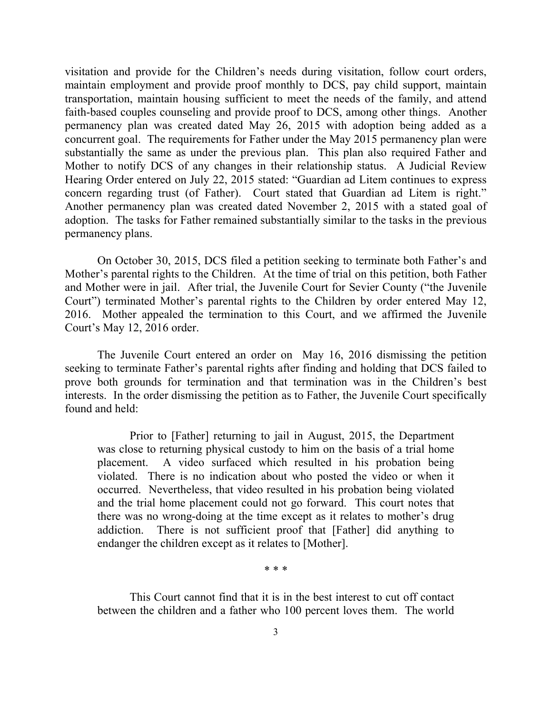visitation and provide for the Children's needs during visitation, follow court orders, maintain employment and provide proof monthly to DCS, pay child support, maintain transportation, maintain housing sufficient to meet the needs of the family, and attend faith-based couples counseling and provide proof to DCS, among other things. Another permanency plan was created dated May 26, 2015 with adoption being added as a concurrent goal. The requirements for Father under the May 2015 permanency plan were substantially the same as under the previous plan. This plan also required Father and Mother to notify DCS of any changes in their relationship status. A Judicial Review Hearing Order entered on July 22, 2015 stated: "Guardian ad Litem continues to express concern regarding trust (of Father). Court stated that Guardian ad Litem is right." Another permanency plan was created dated November 2, 2015 with a stated goal of adoption. The tasks for Father remained substantially similar to the tasks in the previous permanency plans.

On October 30, 2015, DCS filed a petition seeking to terminate both Father's and Mother's parental rights to the Children. At the time of trial on this petition, both Father and Mother were in jail. After trial, the Juvenile Court for Sevier County ("the Juvenile Court") terminated Mother's parental rights to the Children by order entered May 12, 2016. Mother appealed the termination to this Court, and we affirmed the Juvenile Court's May 12, 2016 order.

The Juvenile Court entered an order on May 16, 2016 dismissing the petition seeking to terminate Father's parental rights after finding and holding that DCS failed to prove both grounds for termination and that termination was in the Children's best interests. In the order dismissing the petition as to Father, the Juvenile Court specifically found and held:

Prior to [Father] returning to jail in August, 2015, the Department was close to returning physical custody to him on the basis of a trial home placement. A video surfaced which resulted in his probation being violated. There is no indication about who posted the video or when it occurred. Nevertheless, that video resulted in his probation being violated and the trial home placement could not go forward. This court notes that there was no wrong-doing at the time except as it relates to mother's drug addiction. There is not sufficient proof that [Father] did anything to endanger the children except as it relates to [Mother].

\* \* \*

This Court cannot find that it is in the best interest to cut off contact between the children and a father who 100 percent loves them. The world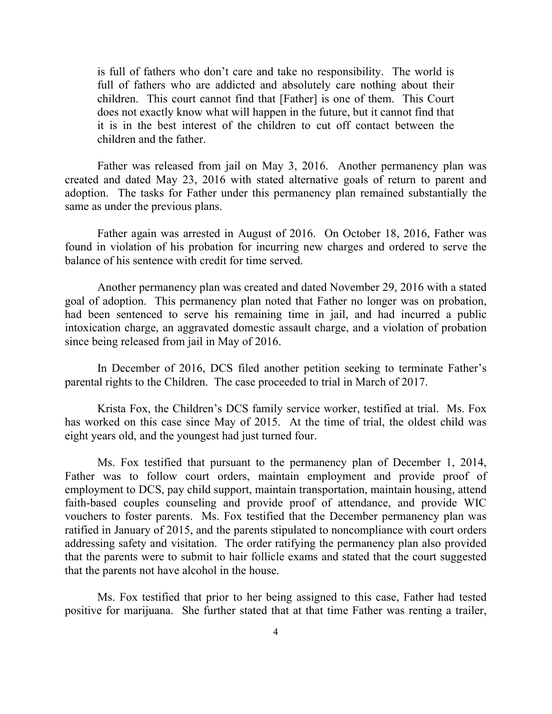is full of fathers who don't care and take no responsibility. The world is full of fathers who are addicted and absolutely care nothing about their children. This court cannot find that [Father] is one of them. This Court does not exactly know what will happen in the future, but it cannot find that it is in the best interest of the children to cut off contact between the children and the father.

Father was released from jail on May 3, 2016. Another permanency plan was created and dated May 23, 2016 with stated alternative goals of return to parent and adoption. The tasks for Father under this permanency plan remained substantially the same as under the previous plans.

Father again was arrested in August of 2016. On October 18, 2016, Father was found in violation of his probation for incurring new charges and ordered to serve the balance of his sentence with credit for time served.

Another permanency plan was created and dated November 29, 2016 with a stated goal of adoption. This permanency plan noted that Father no longer was on probation, had been sentenced to serve his remaining time in jail, and had incurred a public intoxication charge, an aggravated domestic assault charge, and a violation of probation since being released from jail in May of 2016.

In December of 2016, DCS filed another petition seeking to terminate Father's parental rights to the Children. The case proceeded to trial in March of 2017.

Krista Fox, the Children's DCS family service worker, testified at trial. Ms. Fox has worked on this case since May of 2015. At the time of trial, the oldest child was eight years old, and the youngest had just turned four.

Ms. Fox testified that pursuant to the permanency plan of December 1, 2014, Father was to follow court orders, maintain employment and provide proof of employment to DCS, pay child support, maintain transportation, maintain housing, attend faith-based couples counseling and provide proof of attendance, and provide WIC vouchers to foster parents. Ms. Fox testified that the December permanency plan was ratified in January of 2015, and the parents stipulated to noncompliance with court orders addressing safety and visitation. The order ratifying the permanency plan also provided that the parents were to submit to hair follicle exams and stated that the court suggested that the parents not have alcohol in the house.

Ms. Fox testified that prior to her being assigned to this case, Father had tested positive for marijuana. She further stated that at that time Father was renting a trailer,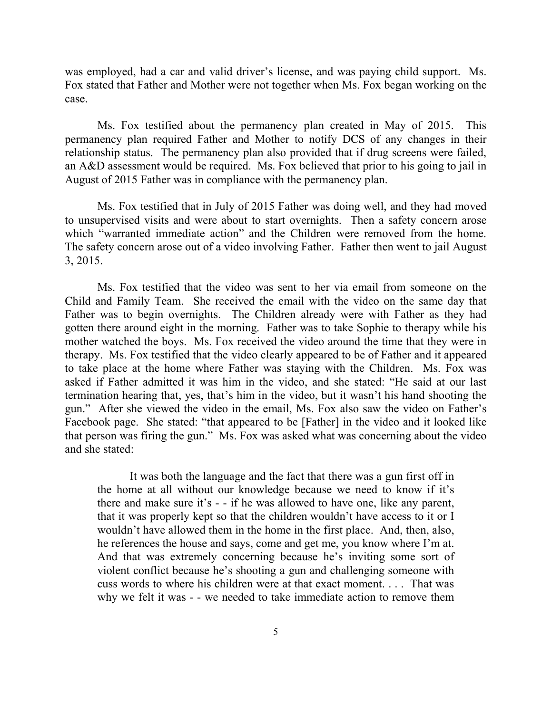was employed, had a car and valid driver's license, and was paying child support. Ms. Fox stated that Father and Mother were not together when Ms. Fox began working on the case.

Ms. Fox testified about the permanency plan created in May of 2015. This permanency plan required Father and Mother to notify DCS of any changes in their relationship status. The permanency plan also provided that if drug screens were failed, an A&D assessment would be required. Ms. Fox believed that prior to his going to jail in August of 2015 Father was in compliance with the permanency plan.

Ms. Fox testified that in July of 2015 Father was doing well, and they had moved to unsupervised visits and were about to start overnights. Then a safety concern arose which "warranted immediate action" and the Children were removed from the home. The safety concern arose out of a video involving Father. Father then went to jail August 3, 2015.

Ms. Fox testified that the video was sent to her via email from someone on the Child and Family Team. She received the email with the video on the same day that Father was to begin overnights. The Children already were with Father as they had gotten there around eight in the morning. Father was to take Sophie to therapy while his mother watched the boys. Ms. Fox received the video around the time that they were in therapy. Ms. Fox testified that the video clearly appeared to be of Father and it appeared to take place at the home where Father was staying with the Children. Ms. Fox was asked if Father admitted it was him in the video, and she stated: "He said at our last termination hearing that, yes, that's him in the video, but it wasn't his hand shooting the gun." After she viewed the video in the email, Ms. Fox also saw the video on Father's Facebook page. She stated: "that appeared to be [Father] in the video and it looked like that person was firing the gun." Ms. Fox was asked what was concerning about the video and she stated:

It was both the language and the fact that there was a gun first off in the home at all without our knowledge because we need to know if it's there and make sure it's - - if he was allowed to have one, like any parent, that it was properly kept so that the children wouldn't have access to it or I wouldn't have allowed them in the home in the first place. And, then, also, he references the house and says, come and get me, you know where I'm at. And that was extremely concerning because he's inviting some sort of violent conflict because he's shooting a gun and challenging someone with cuss words to where his children were at that exact moment. . . . That was why we felt it was - - we needed to take immediate action to remove them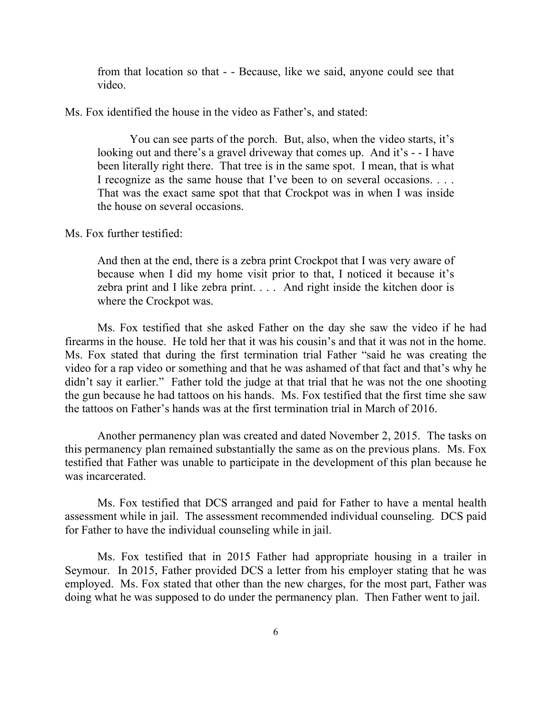from that location so that - - Because, like we said, anyone could see that video.

Ms. Fox identified the house in the video as Father's, and stated:

You can see parts of the porch. But, also, when the video starts, it's looking out and there's a gravel driveway that comes up. And it's - - I have been literally right there. That tree is in the same spot. I mean, that is what I recognize as the same house that I've been to on several occasions. . . . That was the exact same spot that that Crockpot was in when I was inside the house on several occasions.

Ms. Fox further testified:

And then at the end, there is a zebra print Crockpot that I was very aware of because when I did my home visit prior to that, I noticed it because it's zebra print and I like zebra print. . . . And right inside the kitchen door is where the Crockpot was.

Ms. Fox testified that she asked Father on the day she saw the video if he had firearms in the house. He told her that it was his cousin's and that it was not in the home. Ms. Fox stated that during the first termination trial Father "said he was creating the video for a rap video or something and that he was ashamed of that fact and that's why he didn't say it earlier." Father told the judge at that trial that he was not the one shooting the gun because he had tattoos on his hands. Ms. Fox testified that the first time she saw the tattoos on Father's hands was at the first termination trial in March of 2016.

Another permanency plan was created and dated November 2, 2015. The tasks on this permanency plan remained substantially the same as on the previous plans. Ms. Fox testified that Father was unable to participate in the development of this plan because he was incarcerated.

Ms. Fox testified that DCS arranged and paid for Father to have a mental health assessment while in jail. The assessment recommended individual counseling. DCS paid for Father to have the individual counseling while in jail.

Ms. Fox testified that in 2015 Father had appropriate housing in a trailer in Seymour. In 2015, Father provided DCS a letter from his employer stating that he was employed. Ms. Fox stated that other than the new charges, for the most part, Father was doing what he was supposed to do under the permanency plan. Then Father went to jail.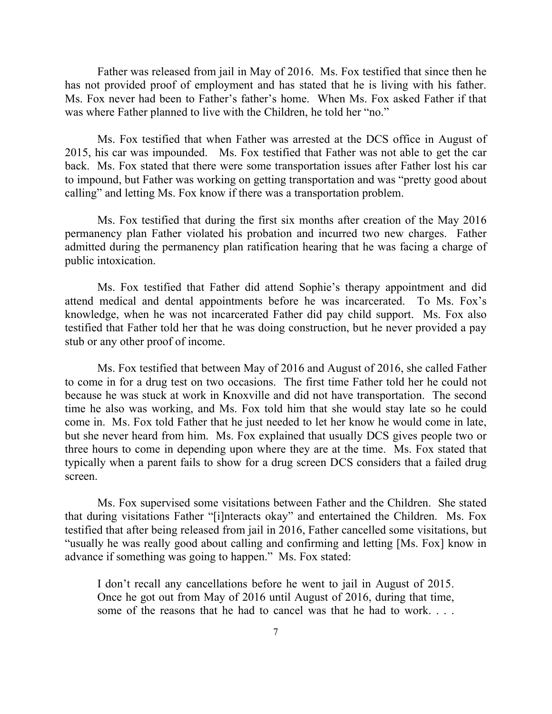Father was released from jail in May of 2016. Ms. Fox testified that since then he has not provided proof of employment and has stated that he is living with his father. Ms. Fox never had been to Father's father's home. When Ms. Fox asked Father if that was where Father planned to live with the Children, he told her "no."

Ms. Fox testified that when Father was arrested at the DCS office in August of 2015, his car was impounded. Ms. Fox testified that Father was not able to get the car back. Ms. Fox stated that there were some transportation issues after Father lost his car to impound, but Father was working on getting transportation and was "pretty good about calling" and letting Ms. Fox know if there was a transportation problem.

Ms. Fox testified that during the first six months after creation of the May 2016 permanency plan Father violated his probation and incurred two new charges. Father admitted during the permanency plan ratification hearing that he was facing a charge of public intoxication.

Ms. Fox testified that Father did attend Sophie's therapy appointment and did attend medical and dental appointments before he was incarcerated. To Ms. Fox's knowledge, when he was not incarcerated Father did pay child support. Ms. Fox also testified that Father told her that he was doing construction, but he never provided a pay stub or any other proof of income.

Ms. Fox testified that between May of 2016 and August of 2016, she called Father to come in for a drug test on two occasions. The first time Father told her he could not because he was stuck at work in Knoxville and did not have transportation. The second time he also was working, and Ms. Fox told him that she would stay late so he could come in. Ms. Fox told Father that he just needed to let her know he would come in late, but she never heard from him. Ms. Fox explained that usually DCS gives people two or three hours to come in depending upon where they are at the time. Ms. Fox stated that typically when a parent fails to show for a drug screen DCS considers that a failed drug screen.

Ms. Fox supervised some visitations between Father and the Children. She stated that during visitations Father "[i]nteracts okay" and entertained the Children. Ms. Fox testified that after being released from jail in 2016, Father cancelled some visitations, but "usually he was really good about calling and confirming and letting [Ms. Fox] know in advance if something was going to happen." Ms. Fox stated:

I don't recall any cancellations before he went to jail in August of 2015. Once he got out from May of 2016 until August of 2016, during that time, some of the reasons that he had to cancel was that he had to work. . . .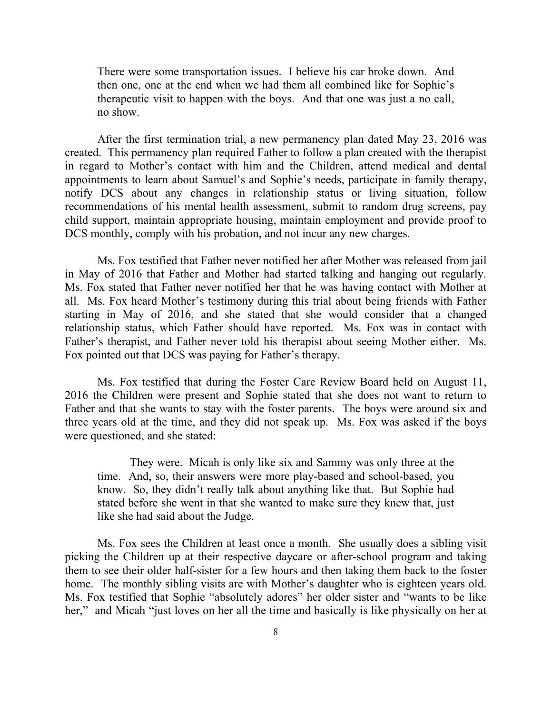There were some transportation issues. I believe his car broke down. And then one, one at the end when we had them all combined like for Sophie's therapeutic visit to happen with the boys. And that one was just a no call, no show.

After the first termination trial, a new permanency plan dated May 23, 2016 was created. This permanency plan required Father to follow a plan created with the therapist in regard to Mother's contact with him and the Children, attend medical and dental appointments to learn about Samuel's and Sophie's needs, participate in family therapy, notify DCS about any changes in relationship status or living situation, follow recommendations of his mental health assessment, submit to random drug screens, pay child support, maintain appropriate housing, maintain employment and provide proof to DCS monthly, comply with his probation, and not incur any new charges.

Ms. Fox testified that Father never notified her after Mother was released from jail in May of 2016 that Father and Mother had started talking and hanging out regularly. Ms. Fox stated that Father never notified her that he was having contact with Mother at all. Ms. Fox heard Mother's testimony during this trial about being friends with Father starting in May of 2016, and she stated that she would consider that a changed relationship status, which Father should have reported. Ms. Fox was in contact with Father's therapist, and Father never told his therapist about seeing Mother either. Ms. Fox pointed out that DCS was paying for Father's therapy.

Ms. Fox testified that during the Foster Care Review Board held on August 11, 2016 the Children were present and Sophie stated that she does not want to return to Father and that she wants to stay with the foster parents. The boys were around six and three years old at the time, and they did not speak up. Ms. Fox was asked if the boys were questioned, and she stated:

They were. Micah is only like six and Sammy was only three at the time. And, so, their answers were more play-based and school-based, you know. So, they didn't really talk about anything like that. But Sophie had stated before she went in that she wanted to make sure they knew that, just like she had said about the Judge.

Ms. Fox sees the Children at least once a month. She usually does a sibling visit picking the Children up at their respective daycare or after-school program and taking them to see their older half-sister for a few hours and then taking them back to the foster home. The monthly sibling visits are with Mother's daughter who is eighteen years old. Ms. Fox testified that Sophie "absolutely adores" her older sister and "wants to be like her," and Micah "just loves on her all the time and basically is like physically on her at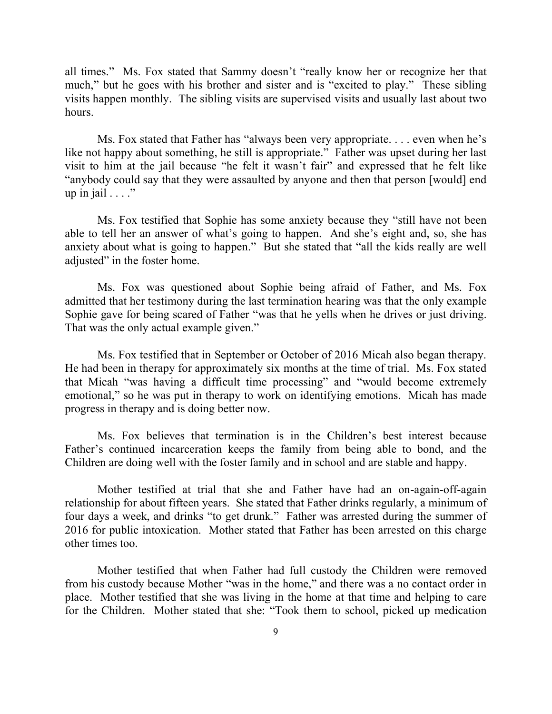all times." Ms. Fox stated that Sammy doesn't "really know her or recognize her that much," but he goes with his brother and sister and is "excited to play." These sibling visits happen monthly. The sibling visits are supervised visits and usually last about two hours.

Ms. Fox stated that Father has "always been very appropriate. . . . even when he's like not happy about something, he still is appropriate." Father was upset during her last visit to him at the jail because "he felt it wasn't fair" and expressed that he felt like "anybody could say that they were assaulted by anyone and then that person [would] end up in jail  $\dots$ ."

Ms. Fox testified that Sophie has some anxiety because they "still have not been able to tell her an answer of what's going to happen. And she's eight and, so, she has anxiety about what is going to happen." But she stated that "all the kids really are well adjusted" in the foster home.

Ms. Fox was questioned about Sophie being afraid of Father, and Ms. Fox admitted that her testimony during the last termination hearing was that the only example Sophie gave for being scared of Father "was that he yells when he drives or just driving. That was the only actual example given."

Ms. Fox testified that in September or October of 2016 Micah also began therapy. He had been in therapy for approximately six months at the time of trial. Ms. Fox stated that Micah "was having a difficult time processing" and "would become extremely emotional," so he was put in therapy to work on identifying emotions. Micah has made progress in therapy and is doing better now.

Ms. Fox believes that termination is in the Children's best interest because Father's continued incarceration keeps the family from being able to bond, and the Children are doing well with the foster family and in school and are stable and happy.

Mother testified at trial that she and Father have had an on-again-off-again relationship for about fifteen years. She stated that Father drinks regularly, a minimum of four days a week, and drinks "to get drunk." Father was arrested during the summer of 2016 for public intoxication. Mother stated that Father has been arrested on this charge other times too.

Mother testified that when Father had full custody the Children were removed from his custody because Mother "was in the home," and there was a no contact order in place. Mother testified that she was living in the home at that time and helping to care for the Children. Mother stated that she: "Took them to school, picked up medication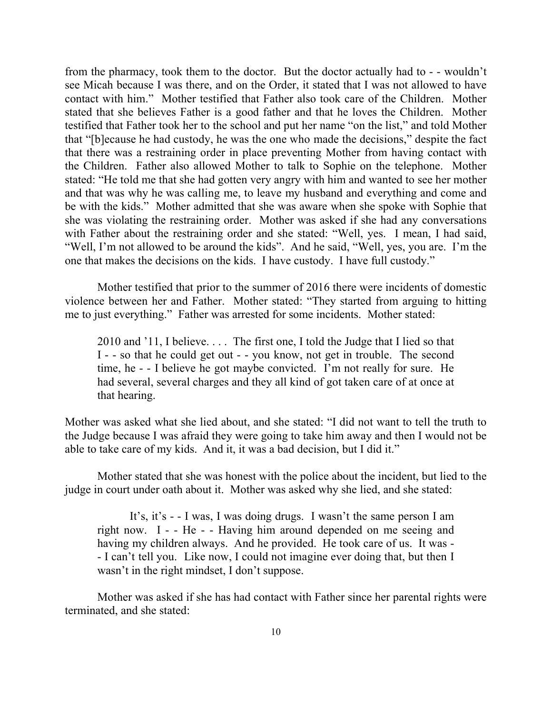from the pharmacy, took them to the doctor. But the doctor actually had to - - wouldn't see Micah because I was there, and on the Order, it stated that I was not allowed to have contact with him." Mother testified that Father also took care of the Children. Mother stated that she believes Father is a good father and that he loves the Children. Mother testified that Father took her to the school and put her name "on the list," and told Mother that "[b]ecause he had custody, he was the one who made the decisions," despite the fact that there was a restraining order in place preventing Mother from having contact with the Children. Father also allowed Mother to talk to Sophie on the telephone. Mother stated: "He told me that she had gotten very angry with him and wanted to see her mother and that was why he was calling me, to leave my husband and everything and come and be with the kids." Mother admitted that she was aware when she spoke with Sophie that she was violating the restraining order. Mother was asked if she had any conversations with Father about the restraining order and she stated: "Well, yes. I mean, I had said, "Well, I'm not allowed to be around the kids". And he said, "Well, yes, you are. I'm the one that makes the decisions on the kids. I have custody. I have full custody."

Mother testified that prior to the summer of 2016 there were incidents of domestic violence between her and Father. Mother stated: "They started from arguing to hitting me to just everything." Father was arrested for some incidents. Mother stated:

2010 and '11, I believe. . . . The first one, I told the Judge that I lied so that I - - so that he could get out - - you know, not get in trouble. The second time, he - - I believe he got maybe convicted. I'm not really for sure. He had several, several charges and they all kind of got taken care of at once at that hearing.

Mother was asked what she lied about, and she stated: "I did not want to tell the truth to the Judge because I was afraid they were going to take him away and then I would not be able to take care of my kids. And it, it was a bad decision, but I did it."

Mother stated that she was honest with the police about the incident, but lied to the judge in court under oath about it. Mother was asked why she lied, and she stated:

It's, it's - - I was, I was doing drugs. I wasn't the same person I am right now. I - - He - - Having him around depended on me seeing and having my children always. And he provided. He took care of us. It was - - I can't tell you. Like now, I could not imagine ever doing that, but then I wasn't in the right mindset, I don't suppose.

Mother was asked if she has had contact with Father since her parental rights were terminated, and she stated: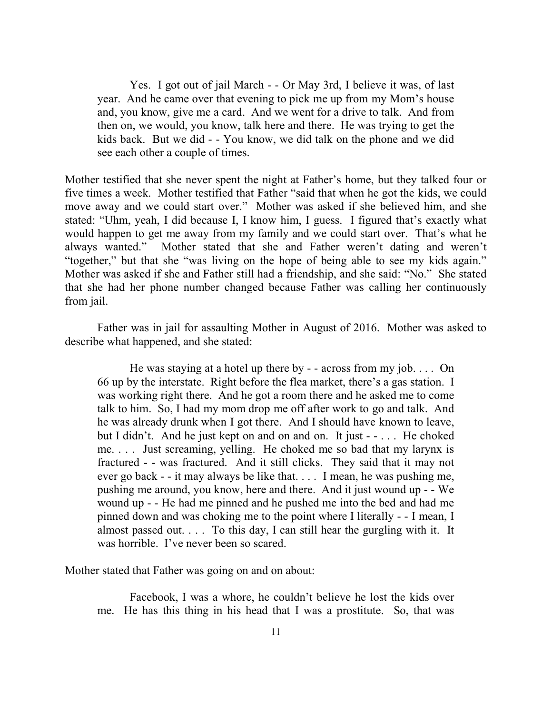Yes. I got out of jail March - - Or May 3rd, I believe it was, of last year. And he came over that evening to pick me up from my Mom's house and, you know, give me a card. And we went for a drive to talk. And from then on, we would, you know, talk here and there. He was trying to get the kids back. But we did - - You know, we did talk on the phone and we did see each other a couple of times.

Mother testified that she never spent the night at Father's home, but they talked four or five times a week. Mother testified that Father "said that when he got the kids, we could move away and we could start over." Mother was asked if she believed him, and she stated: "Uhm, yeah, I did because I, I know him, I guess. I figured that's exactly what would happen to get me away from my family and we could start over. That's what he always wanted." Mother stated that she and Father weren't dating and weren't "together," but that she "was living on the hope of being able to see my kids again." Mother was asked if she and Father still had a friendship, and she said: "No." She stated that she had her phone number changed because Father was calling her continuously from jail.

Father was in jail for assaulting Mother in August of 2016. Mother was asked to describe what happened, and she stated:

He was staying at a hotel up there by  $-$  - across from my job.... On 66 up by the interstate. Right before the flea market, there's a gas station. I was working right there. And he got a room there and he asked me to come talk to him. So, I had my mom drop me off after work to go and talk. And he was already drunk when I got there. And I should have known to leave, but I didn't. And he just kept on and on and on. It just - - . . . He choked me. . . . Just screaming, yelling. He choked me so bad that my larynx is fractured - - was fractured. And it still clicks. They said that it may not ever go back - - it may always be like that. . . . I mean, he was pushing me, pushing me around, you know, here and there. And it just wound up - - We wound up - - He had me pinned and he pushed me into the bed and had me pinned down and was choking me to the point where I literally - - I mean, I almost passed out. . . . To this day, I can still hear the gurgling with it. It was horrible. I've never been so scared.

Mother stated that Father was going on and on about:

Facebook, I was a whore, he couldn't believe he lost the kids over me. He has this thing in his head that I was a prostitute. So, that was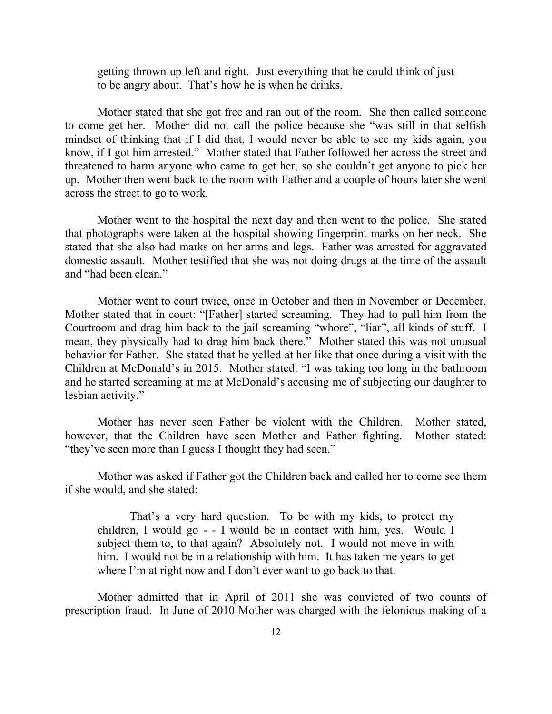getting thrown up left and right. Just everything that he could think of just to be angry about. That's how he is when he drinks.

Mother stated that she got free and ran out of the room. She then called someone to come get her. Mother did not call the police because she "was still in that selfish mindset of thinking that if I did that, I would never be able to see my kids again, you know, if I got him arrested." Mother stated that Father followed her across the street and threatened to harm anyone who came to get her, so she couldn't get anyone to pick her up. Mother then went back to the room with Father and a couple of hours later she went across the street to go to work.

Mother went to the hospital the next day and then went to the police. She stated that photographs were taken at the hospital showing fingerprint marks on her neck. She stated that she also had marks on her arms and legs. Father was arrested for aggravated domestic assault. Mother testified that she was not doing drugs at the time of the assault and "had been clean."

Mother went to court twice, once in October and then in November or December. Mother stated that in court: "[Father] started screaming. They had to pull him from the Courtroom and drag him back to the jail screaming "whore", "liar", all kinds of stuff. I mean, they physically had to drag him back there." Mother stated this was not unusual behavior for Father. She stated that he yelled at her like that once during a visit with the Children at McDonald's in 2015. Mother stated: "I was taking too long in the bathroom and he started screaming at me at McDonald's accusing me of subjecting our daughter to lesbian activity."

Mother has never seen Father be violent with the Children. Mother stated, however, that the Children have seen Mother and Father fighting. Mother stated: "they've seen more than I guess I thought they had seen."

Mother was asked if Father got the Children back and called her to come see them if she would, and she stated:

That's a very hard question. To be with my kids, to protect my children, I would go - - I would be in contact with him, yes. Would I subject them to, to that again? Absolutely not. I would not move in with him. I would not be in a relationship with him. It has taken me years to get where I'm at right now and I don't ever want to go back to that.

Mother admitted that in April of 2011 she was convicted of two counts of prescription fraud. In June of 2010 Mother was charged with the felonious making of a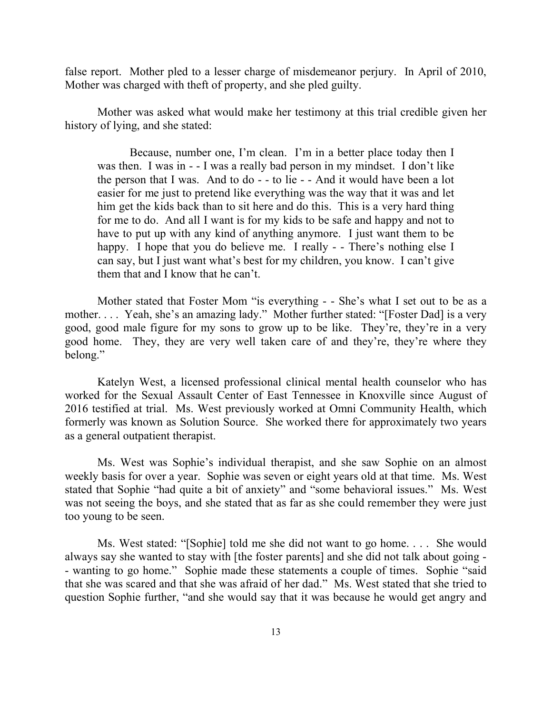false report. Mother pled to a lesser charge of misdemeanor perjury. In April of 2010, Mother was charged with theft of property, and she pled guilty.

Mother was asked what would make her testimony at this trial credible given her history of lying, and she stated:

Because, number one, I'm clean. I'm in a better place today then I was then. I was in - - I was a really bad person in my mindset. I don't like the person that I was. And to do - - to lie - - And it would have been a lot easier for me just to pretend like everything was the way that it was and let him get the kids back than to sit here and do this. This is a very hard thing for me to do. And all I want is for my kids to be safe and happy and not to have to put up with any kind of anything anymore. I just want them to be happy. I hope that you do believe me. I really - - There's nothing else I can say, but I just want what's best for my children, you know. I can't give them that and I know that he can't.

Mother stated that Foster Mom "is everything - - She's what I set out to be as a mother. . . . Yeah, she's an amazing lady." Mother further stated: "[Foster Dad] is a very good, good male figure for my sons to grow up to be like. They're, they're in a very good home. They, they are very well taken care of and they're, they're where they belong."

Katelyn West, a licensed professional clinical mental health counselor who has worked for the Sexual Assault Center of East Tennessee in Knoxville since August of 2016 testified at trial. Ms. West previously worked at Omni Community Health, which formerly was known as Solution Source. She worked there for approximately two years as a general outpatient therapist.

Ms. West was Sophie's individual therapist, and she saw Sophie on an almost weekly basis for over a year. Sophie was seven or eight years old at that time. Ms. West stated that Sophie "had quite a bit of anxiety" and "some behavioral issues." Ms. West was not seeing the boys, and she stated that as far as she could remember they were just too young to be seen.

Ms. West stated: "[Sophie] told me she did not want to go home. . . . She would always say she wanted to stay with [the foster parents] and she did not talk about going - - wanting to go home." Sophie made these statements a couple of times. Sophie "said that she was scared and that she was afraid of her dad." Ms. West stated that she tried to question Sophie further, "and she would say that it was because he would get angry and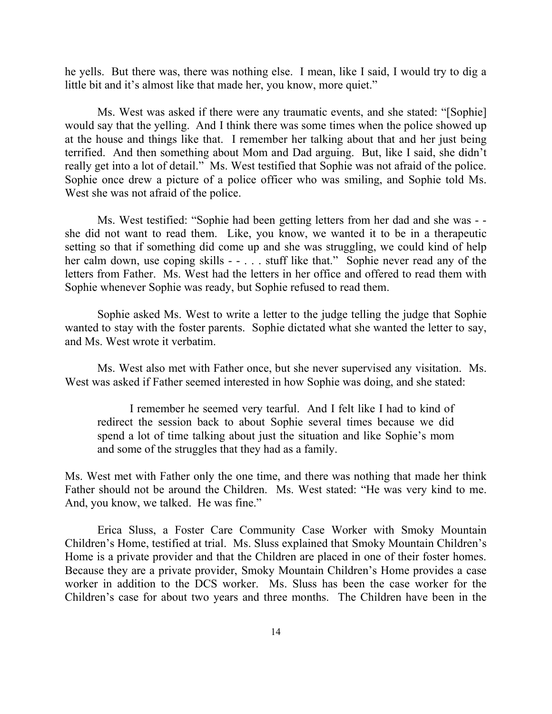he yells. But there was, there was nothing else. I mean, like I said, I would try to dig a little bit and it's almost like that made her, you know, more quiet."

Ms. West was asked if there were any traumatic events, and she stated: "[Sophie] would say that the yelling. And I think there was some times when the police showed up at the house and things like that. I remember her talking about that and her just being terrified. And then something about Mom and Dad arguing. But, like I said, she didn't really get into a lot of detail." Ms. West testified that Sophie was not afraid of the police. Sophie once drew a picture of a police officer who was smiling, and Sophie told Ms. West she was not afraid of the police.

Ms. West testified: "Sophie had been getting letters from her dad and she was - she did not want to read them. Like, you know, we wanted it to be in a therapeutic setting so that if something did come up and she was struggling, we could kind of help her calm down, use coping skills - - . . . stuff like that." Sophie never read any of the letters from Father. Ms. West had the letters in her office and offered to read them with Sophie whenever Sophie was ready, but Sophie refused to read them.

Sophie asked Ms. West to write a letter to the judge telling the judge that Sophie wanted to stay with the foster parents. Sophie dictated what she wanted the letter to say, and Ms. West wrote it verbatim.

Ms. West also met with Father once, but she never supervised any visitation. Ms. West was asked if Father seemed interested in how Sophie was doing, and she stated:

I remember he seemed very tearful. And I felt like I had to kind of redirect the session back to about Sophie several times because we did spend a lot of time talking about just the situation and like Sophie's mom and some of the struggles that they had as a family.

Ms. West met with Father only the one time, and there was nothing that made her think Father should not be around the Children. Ms. West stated: "He was very kind to me. And, you know, we talked. He was fine."

Erica Sluss, a Foster Care Community Case Worker with Smoky Mountain Children's Home, testified at trial. Ms. Sluss explained that Smoky Mountain Children's Home is a private provider and that the Children are placed in one of their foster homes. Because they are a private provider, Smoky Mountain Children's Home provides a case worker in addition to the DCS worker. Ms. Sluss has been the case worker for the Children's case for about two years and three months. The Children have been in the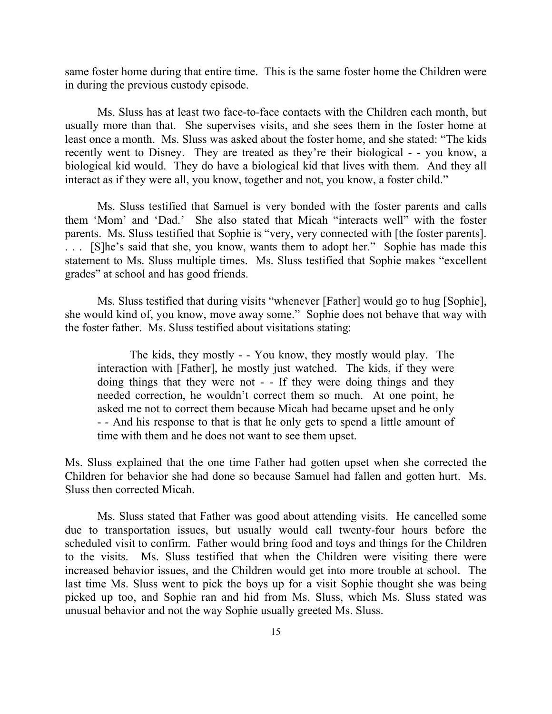same foster home during that entire time. This is the same foster home the Children were in during the previous custody episode.

Ms. Sluss has at least two face-to-face contacts with the Children each month, but usually more than that. She supervises visits, and she sees them in the foster home at least once a month. Ms. Sluss was asked about the foster home, and she stated: "The kids recently went to Disney. They are treated as they're their biological - - you know, a biological kid would. They do have a biological kid that lives with them. And they all interact as if they were all, you know, together and not, you know, a foster child."

Ms. Sluss testified that Samuel is very bonded with the foster parents and calls them 'Mom' and 'Dad.' She also stated that Micah "interacts well" with the foster parents. Ms. Sluss testified that Sophie is "very, very connected with [the foster parents]. . . . [S]he's said that she, you know, wants them to adopt her." Sophie has made this statement to Ms. Sluss multiple times. Ms. Sluss testified that Sophie makes "excellent grades" at school and has good friends.

Ms. Sluss testified that during visits "whenever [Father] would go to hug [Sophie], she would kind of, you know, move away some." Sophie does not behave that way with the foster father. Ms. Sluss testified about visitations stating:

The kids, they mostly - - You know, they mostly would play. The interaction with [Father], he mostly just watched. The kids, if they were doing things that they were not - - If they were doing things and they needed correction, he wouldn't correct them so much. At one point, he asked me not to correct them because Micah had became upset and he only - - And his response to that is that he only gets to spend a little amount of time with them and he does not want to see them upset.

Ms. Sluss explained that the one time Father had gotten upset when she corrected the Children for behavior she had done so because Samuel had fallen and gotten hurt. Ms. Sluss then corrected Micah.

Ms. Sluss stated that Father was good about attending visits. He cancelled some due to transportation issues, but usually would call twenty-four hours before the scheduled visit to confirm. Father would bring food and toys and things for the Children to the visits. Ms. Sluss testified that when the Children were visiting there were increased behavior issues, and the Children would get into more trouble at school. The last time Ms. Sluss went to pick the boys up for a visit Sophie thought she was being picked up too, and Sophie ran and hid from Ms. Sluss, which Ms. Sluss stated was unusual behavior and not the way Sophie usually greeted Ms. Sluss.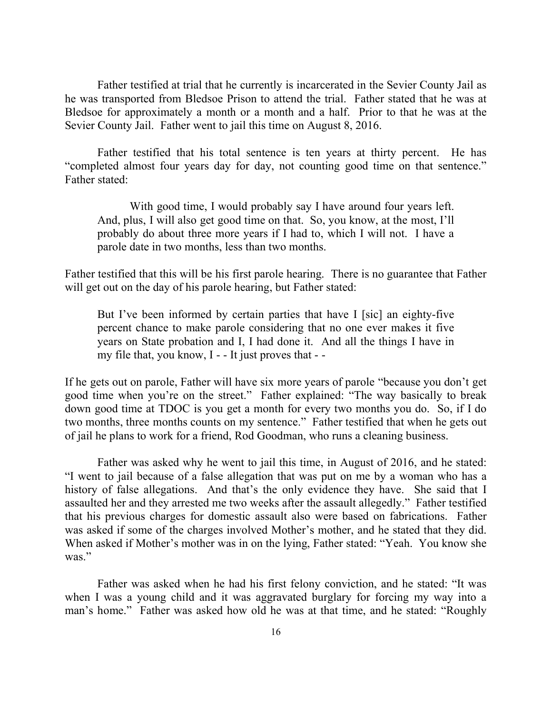Father testified at trial that he currently is incarcerated in the Sevier County Jail as he was transported from Bledsoe Prison to attend the trial. Father stated that he was at Bledsoe for approximately a month or a month and a half. Prior to that he was at the Sevier County Jail. Father went to jail this time on August 8, 2016.

Father testified that his total sentence is ten years at thirty percent. He has "completed almost four years day for day, not counting good time on that sentence." Father stated:

With good time, I would probably say I have around four years left. And, plus, I will also get good time on that. So, you know, at the most, I'll probably do about three more years if I had to, which I will not. I have a parole date in two months, less than two months.

Father testified that this will be his first parole hearing. There is no guarantee that Father will get out on the day of his parole hearing, but Father stated:

But I've been informed by certain parties that have I [sic] an eighty-five percent chance to make parole considering that no one ever makes it five years on State probation and I, I had done it. And all the things I have in my file that, you know, I - - It just proves that - -

If he gets out on parole, Father will have six more years of parole "because you don't get good time when you're on the street." Father explained: "The way basically to break down good time at TDOC is you get a month for every two months you do. So, if I do two months, three months counts on my sentence." Father testified that when he gets out of jail he plans to work for a friend, Rod Goodman, who runs a cleaning business.

Father was asked why he went to jail this time, in August of 2016, and he stated: "I went to jail because of a false allegation that was put on me by a woman who has a history of false allegations. And that's the only evidence they have. She said that I assaulted her and they arrested me two weeks after the assault allegedly." Father testified that his previous charges for domestic assault also were based on fabrications. Father was asked if some of the charges involved Mother's mother, and he stated that they did. When asked if Mother's mother was in on the lying, Father stated: "Yeah. You know she was."

Father was asked when he had his first felony conviction, and he stated: "It was when I was a young child and it was aggravated burglary for forcing my way into a man's home." Father was asked how old he was at that time, and he stated: "Roughly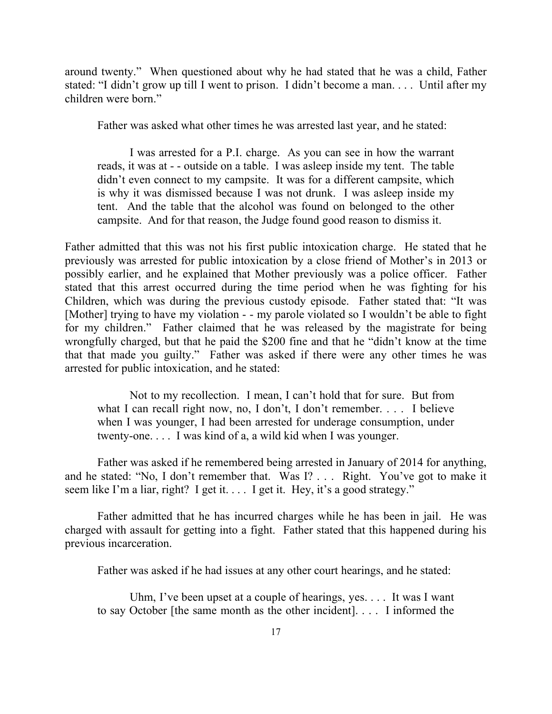around twenty." When questioned about why he had stated that he was a child, Father stated: "I didn't grow up till I went to prison. I didn't become a man. . . . Until after my children were born."

Father was asked what other times he was arrested last year, and he stated:

I was arrested for a P.I. charge. As you can see in how the warrant reads, it was at - - outside on a table. I was asleep inside my tent. The table didn't even connect to my campsite. It was for a different campsite, which is why it was dismissed because I was not drunk. I was asleep inside my tent. And the table that the alcohol was found on belonged to the other campsite. And for that reason, the Judge found good reason to dismiss it.

Father admitted that this was not his first public intoxication charge. He stated that he previously was arrested for public intoxication by a close friend of Mother's in 2013 or possibly earlier, and he explained that Mother previously was a police officer. Father stated that this arrest occurred during the time period when he was fighting for his Children, which was during the previous custody episode. Father stated that: "It was [Mother] trying to have my violation - - my parole violated so I wouldn't be able to fight for my children." Father claimed that he was released by the magistrate for being wrongfully charged, but that he paid the \$200 fine and that he "didn't know at the time that that made you guilty." Father was asked if there were any other times he was arrested for public intoxication, and he stated:

Not to my recollection. I mean, I can't hold that for sure. But from what I can recall right now, no, I don't, I don't remember. . . . I believe when I was younger, I had been arrested for underage consumption, under twenty-one. . . . I was kind of a, a wild kid when I was younger.

Father was asked if he remembered being arrested in January of 2014 for anything, and he stated: "No, I don't remember that. Was I? . . . Right. You've got to make it seem like I'm a liar, right? I get it. . . . I get it. Hey, it's a good strategy."

Father admitted that he has incurred charges while he has been in jail. He was charged with assault for getting into a fight. Father stated that this happened during his previous incarceration.

Father was asked if he had issues at any other court hearings, and he stated:

Uhm, I've been upset at a couple of hearings, yes. . . . It was I want to say October [the same month as the other incident]. . . . I informed the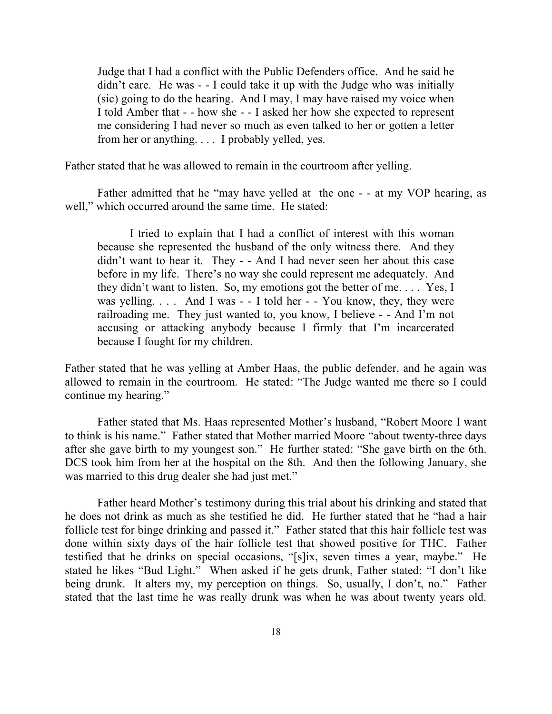Judge that I had a conflict with the Public Defenders office. And he said he didn't care. He was - - I could take it up with the Judge who was initially (sic) going to do the hearing. And I may, I may have raised my voice when I told Amber that - - how she - - I asked her how she expected to represent me considering I had never so much as even talked to her or gotten a letter from her or anything. . . . I probably yelled, yes.

Father stated that he was allowed to remain in the courtroom after yelling.

Father admitted that he "may have yelled at the one - - at my VOP hearing, as well," which occurred around the same time. He stated:

I tried to explain that I had a conflict of interest with this woman because she represented the husband of the only witness there. And they didn't want to hear it. They - - And I had never seen her about this case before in my life. There's no way she could represent me adequately. And they didn't want to listen. So, my emotions got the better of me. . . . Yes, I was yelling. . . . And I was - - I told her - - You know, they, they were railroading me. They just wanted to, you know, I believe - - And I'm not accusing or attacking anybody because I firmly that I'm incarcerated because I fought for my children.

Father stated that he was yelling at Amber Haas, the public defender, and he again was allowed to remain in the courtroom. He stated: "The Judge wanted me there so I could continue my hearing."

Father stated that Ms. Haas represented Mother's husband, "Robert Moore I want to think is his name." Father stated that Mother married Moore "about twenty-three days after she gave birth to my youngest son." He further stated: "She gave birth on the 6th. DCS took him from her at the hospital on the 8th. And then the following January, she was married to this drug dealer she had just met."

Father heard Mother's testimony during this trial about his drinking and stated that he does not drink as much as she testified he did. He further stated that he "had a hair follicle test for binge drinking and passed it." Father stated that this hair follicle test was done within sixty days of the hair follicle test that showed positive for THC. Father testified that he drinks on special occasions, "[s]ix, seven times a year, maybe." He stated he likes "Bud Light." When asked if he gets drunk, Father stated: "I don't like being drunk. It alters my, my perception on things. So, usually, I don't, no." Father stated that the last time he was really drunk was when he was about twenty years old.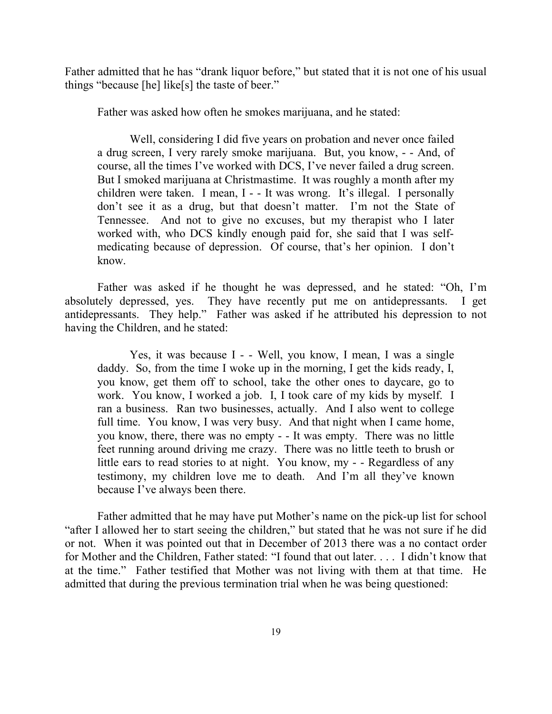Father admitted that he has "drank liquor before," but stated that it is not one of his usual things "because [he] like[s] the taste of beer."

Father was asked how often he smokes marijuana, and he stated:

Well, considering I did five years on probation and never once failed a drug screen, I very rarely smoke marijuana. But, you know, - - And, of course, all the times I've worked with DCS, I've never failed a drug screen. But I smoked marijuana at Christmastime. It was roughly a month after my children were taken. I mean, I - - It was wrong. It's illegal. I personally don't see it as a drug, but that doesn't matter. I'm not the State of Tennessee. And not to give no excuses, but my therapist who I later worked with, who DCS kindly enough paid for, she said that I was selfmedicating because of depression. Of course, that's her opinion. I don't know.

Father was asked if he thought he was depressed, and he stated: "Oh, I'm absolutely depressed, yes. They have recently put me on antidepressants. I get antidepressants. They help." Father was asked if he attributed his depression to not having the Children, and he stated:

Yes, it was because I - - Well, you know, I mean, I was a single daddy. So, from the time I woke up in the morning, I get the kids ready, I, you know, get them off to school, take the other ones to daycare, go to work. You know, I worked a job. I, I took care of my kids by myself. I ran a business. Ran two businesses, actually. And I also went to college full time. You know, I was very busy. And that night when I came home, you know, there, there was no empty - - It was empty. There was no little feet running around driving me crazy. There was no little teeth to brush or little ears to read stories to at night. You know, my - - Regardless of any testimony, my children love me to death. And I'm all they've known because I've always been there.

Father admitted that he may have put Mother's name on the pick-up list for school "after I allowed her to start seeing the children," but stated that he was not sure if he did or not. When it was pointed out that in December of 2013 there was a no contact order for Mother and the Children, Father stated: "I found that out later. . . . I didn't know that at the time." Father testified that Mother was not living with them at that time. He admitted that during the previous termination trial when he was being questioned: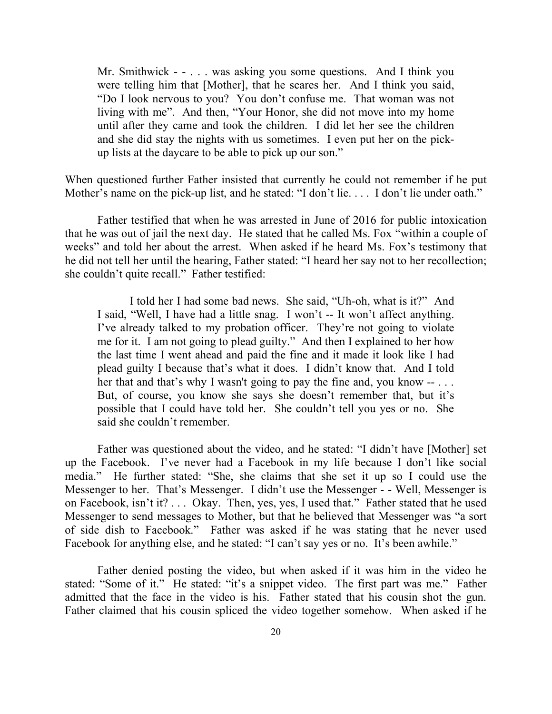Mr. Smithwick - - . . . was asking you some questions. And I think you were telling him that [Mother], that he scares her. And I think you said, "Do I look nervous to you? You don't confuse me. That woman was not living with me". And then, "Your Honor, she did not move into my home until after they came and took the children. I did let her see the children and she did stay the nights with us sometimes. I even put her on the pickup lists at the daycare to be able to pick up our son."

When questioned further Father insisted that currently he could not remember if he put Mother's name on the pick-up list, and he stated: "I don't lie.... I don't lie under oath."

Father testified that when he was arrested in June of 2016 for public intoxication that he was out of jail the next day. He stated that he called Ms. Fox "within a couple of weeks" and told her about the arrest. When asked if he heard Ms. Fox's testimony that he did not tell her until the hearing, Father stated: "I heard her say not to her recollection; she couldn't quite recall." Father testified:

I told her I had some bad news. She said, "Uh-oh, what is it?" And I said, "Well, I have had a little snag. I won't -- It won't affect anything. I've already talked to my probation officer. They're not going to violate me for it. I am not going to plead guilty." And then I explained to her how the last time I went ahead and paid the fine and it made it look like I had plead guilty I because that's what it does. I didn't know that. And I told her that and that's why I wasn't going to pay the fine and, you know -- ... But, of course, you know she says she doesn't remember that, but it's possible that I could have told her. She couldn't tell you yes or no. She said she couldn't remember.

Father was questioned about the video, and he stated: "I didn't have [Mother] set up the Facebook. I've never had a Facebook in my life because I don't like social media." He further stated: "She, she claims that she set it up so I could use the Messenger to her. That's Messenger. I didn't use the Messenger - - Well, Messenger is on Facebook, isn't it? . . . Okay. Then, yes, yes, I used that." Father stated that he used Messenger to send messages to Mother, but that he believed that Messenger was "a sort of side dish to Facebook." Father was asked if he was stating that he never used Facebook for anything else, and he stated: "I can't say yes or no. It's been awhile."

Father denied posting the video, but when asked if it was him in the video he stated: "Some of it." He stated: "it's a snippet video. The first part was me." Father admitted that the face in the video is his. Father stated that his cousin shot the gun. Father claimed that his cousin spliced the video together somehow. When asked if he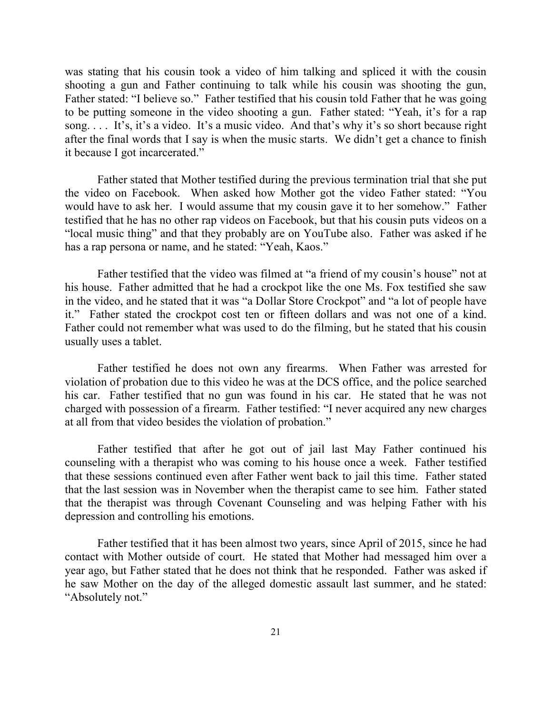was stating that his cousin took a video of him talking and spliced it with the cousin shooting a gun and Father continuing to talk while his cousin was shooting the gun, Father stated: "I believe so." Father testified that his cousin told Father that he was going to be putting someone in the video shooting a gun. Father stated: "Yeah, it's for a rap song. . . . It's, it's a video. It's a music video. And that's why it's so short because right after the final words that I say is when the music starts. We didn't get a chance to finish it because I got incarcerated."

Father stated that Mother testified during the previous termination trial that she put the video on Facebook. When asked how Mother got the video Father stated: "You would have to ask her. I would assume that my cousin gave it to her somehow." Father testified that he has no other rap videos on Facebook, but that his cousin puts videos on a "local music thing" and that they probably are on YouTube also. Father was asked if he has a rap persona or name, and he stated: "Yeah, Kaos."

Father testified that the video was filmed at "a friend of my cousin's house" not at his house. Father admitted that he had a crockpot like the one Ms. Fox testified she saw in the video, and he stated that it was "a Dollar Store Crockpot" and "a lot of people have it." Father stated the crockpot cost ten or fifteen dollars and was not one of a kind. Father could not remember what was used to do the filming, but he stated that his cousin usually uses a tablet.

Father testified he does not own any firearms. When Father was arrested for violation of probation due to this video he was at the DCS office, and the police searched his car. Father testified that no gun was found in his car. He stated that he was not charged with possession of a firearm. Father testified: "I never acquired any new charges at all from that video besides the violation of probation."

Father testified that after he got out of jail last May Father continued his counseling with a therapist who was coming to his house once a week. Father testified that these sessions continued even after Father went back to jail this time. Father stated that the last session was in November when the therapist came to see him. Father stated that the therapist was through Covenant Counseling and was helping Father with his depression and controlling his emotions.

Father testified that it has been almost two years, since April of 2015, since he had contact with Mother outside of court. He stated that Mother had messaged him over a year ago, but Father stated that he does not think that he responded. Father was asked if he saw Mother on the day of the alleged domestic assault last summer, and he stated: "Absolutely not."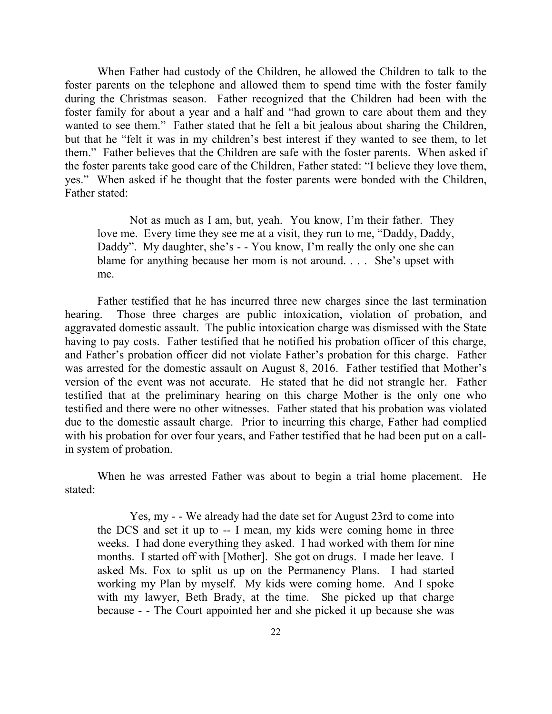When Father had custody of the Children, he allowed the Children to talk to the foster parents on the telephone and allowed them to spend time with the foster family during the Christmas season. Father recognized that the Children had been with the foster family for about a year and a half and "had grown to care about them and they wanted to see them." Father stated that he felt a bit jealous about sharing the Children, but that he "felt it was in my children's best interest if they wanted to see them, to let them." Father believes that the Children are safe with the foster parents. When asked if the foster parents take good care of the Children, Father stated: "I believe they love them, yes." When asked if he thought that the foster parents were bonded with the Children, Father stated:

Not as much as I am, but, yeah. You know, I'm their father. They love me. Every time they see me at a visit, they run to me, "Daddy, Daddy, Daddy". My daughter, she's - - You know, I'm really the only one she can blame for anything because her mom is not around. . . . She's upset with me.

Father testified that he has incurred three new charges since the last termination hearing. Those three charges are public intoxication, violation of probation, and aggravated domestic assault. The public intoxication charge was dismissed with the State having to pay costs. Father testified that he notified his probation officer of this charge, and Father's probation officer did not violate Father's probation for this charge. Father was arrested for the domestic assault on August 8, 2016. Father testified that Mother's version of the event was not accurate. He stated that he did not strangle her. Father testified that at the preliminary hearing on this charge Mother is the only one who testified and there were no other witnesses. Father stated that his probation was violated due to the domestic assault charge. Prior to incurring this charge, Father had complied with his probation for over four years, and Father testified that he had been put on a callin system of probation.

When he was arrested Father was about to begin a trial home placement. He stated:

Yes, my - - We already had the date set for August 23rd to come into the DCS and set it up to -- I mean, my kids were coming home in three weeks. I had done everything they asked. I had worked with them for nine months. I started off with [Mother]. She got on drugs. I made her leave. I asked Ms. Fox to split us up on the Permanency Plans. I had started working my Plan by myself. My kids were coming home. And I spoke with my lawyer, Beth Brady, at the time. She picked up that charge because - - The Court appointed her and she picked it up because she was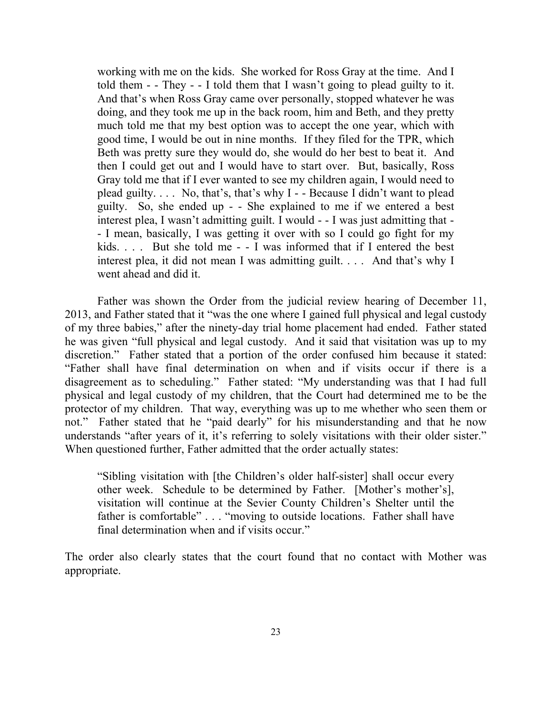working with me on the kids. She worked for Ross Gray at the time. And I told them - - They - - I told them that I wasn't going to plead guilty to it. And that's when Ross Gray came over personally, stopped whatever he was doing, and they took me up in the back room, him and Beth, and they pretty much told me that my best option was to accept the one year, which with good time, I would be out in nine months. If they filed for the TPR, which Beth was pretty sure they would do, she would do her best to beat it. And then I could get out and I would have to start over. But, basically, Ross Gray told me that if I ever wanted to see my children again, I would need to plead guilty. . . . No, that's, that's why I - - Because I didn't want to plead guilty. So, she ended up - - She explained to me if we entered a best interest plea, I wasn't admitting guilt. I would - - I was just admitting that - - I mean, basically, I was getting it over with so I could go fight for my kids. . . . But she told me - - I was informed that if I entered the best interest plea, it did not mean I was admitting guilt. . . . And that's why I went ahead and did it.

Father was shown the Order from the judicial review hearing of December 11, 2013, and Father stated that it "was the one where I gained full physical and legal custody of my three babies," after the ninety-day trial home placement had ended. Father stated he was given "full physical and legal custody. And it said that visitation was up to my discretion." Father stated that a portion of the order confused him because it stated: "Father shall have final determination on when and if visits occur if there is a disagreement as to scheduling." Father stated: "My understanding was that I had full physical and legal custody of my children, that the Court had determined me to be the protector of my children. That way, everything was up to me whether who seen them or not." Father stated that he "paid dearly" for his misunderstanding and that he now understands "after years of it, it's referring to solely visitations with their older sister." When questioned further, Father admitted that the order actually states:

"Sibling visitation with [the Children's older half-sister] shall occur every other week. Schedule to be determined by Father. [Mother's mother's], visitation will continue at the Sevier County Children's Shelter until the father is comfortable" . . . "moving to outside locations. Father shall have final determination when and if visits occur."

The order also clearly states that the court found that no contact with Mother was appropriate.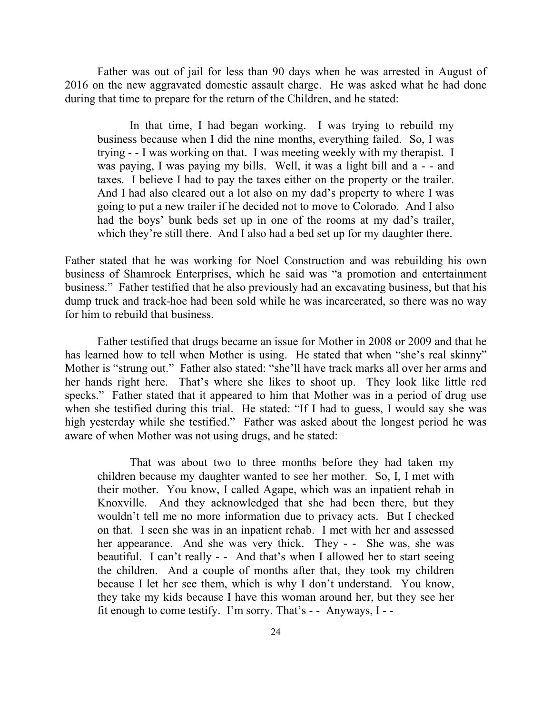Father was out of jail for less than 90 days when he was arrested in August of 2016 on the new aggravated domestic assault charge. He was asked what he had done during that time to prepare for the return of the Children, and he stated:

In that time, I had began working. I was trying to rebuild my business because when I did the nine months, everything failed. So, I was trying - - I was working on that. I was meeting weekly with my therapist. I was paying, I was paying my bills. Well, it was a light bill and a - - and taxes. I believe I had to pay the taxes either on the property or the trailer. And I had also cleared out a lot also on my dad's property to where I was going to put a new trailer if he decided not to move to Colorado. And I also had the boys' bunk beds set up in one of the rooms at my dad's trailer, which they're still there. And I also had a bed set up for my daughter there.

Father stated that he was working for Noel Construction and was rebuilding his own business of Shamrock Enterprises, which he said was "a promotion and entertainment business." Father testified that he also previously had an excavating business, but that his dump truck and track-hoe had been sold while he was incarcerated, so there was no way for him to rebuild that business.

Father testified that drugs became an issue for Mother in 2008 or 2009 and that he has learned how to tell when Mother is using. He stated that when "she's real skinny" Mother is "strung out." Father also stated: "she'll have track marks all over her arms and her hands right here. That's where she likes to shoot up. They look like little red specks." Father stated that it appeared to him that Mother was in a period of drug use when she testified during this trial. He stated: "If I had to guess, I would say she was high yesterday while she testified." Father was asked about the longest period he was aware of when Mother was not using drugs, and he stated:

That was about two to three months before they had taken my children because my daughter wanted to see her mother. So, I, I met with their mother. You know, I called Agape, which was an inpatient rehab in Knoxville. And they acknowledged that she had been there, but they wouldn't tell me no more information due to privacy acts. But I checked on that. I seen she was in an inpatient rehab. I met with her and assessed her appearance. And she was very thick. They - - She was, she was beautiful. I can't really - - And that's when I allowed her to start seeing the children. And a couple of months after that, they took my children because I let her see them, which is why I don't understand. You know, they take my kids because I have this woman around her, but they see her fit enough to come testify. I'm sorry. That's - - Anyways, I - -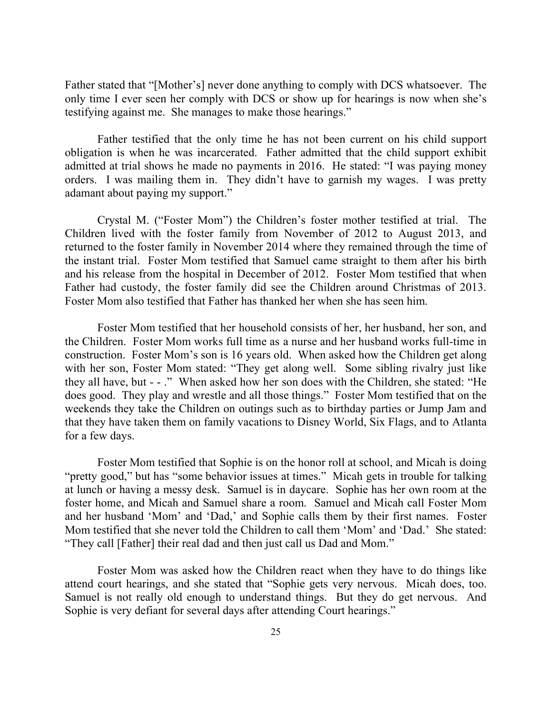Father stated that "[Mother's] never done anything to comply with DCS whatsoever. The only time I ever seen her comply with DCS or show up for hearings is now when she's testifying against me. She manages to make those hearings."

Father testified that the only time he has not been current on his child support obligation is when he was incarcerated. Father admitted that the child support exhibit admitted at trial shows he made no payments in 2016. He stated: "I was paying money orders. I was mailing them in. They didn't have to garnish my wages. I was pretty adamant about paying my support."

Crystal M. ("Foster Mom") the Children's foster mother testified at trial. The Children lived with the foster family from November of 2012 to August 2013, and returned to the foster family in November 2014 where they remained through the time of the instant trial. Foster Mom testified that Samuel came straight to them after his birth and his release from the hospital in December of 2012. Foster Mom testified that when Father had custody, the foster family did see the Children around Christmas of 2013. Foster Mom also testified that Father has thanked her when she has seen him.

Foster Mom testified that her household consists of her, her husband, her son, and the Children. Foster Mom works full time as a nurse and her husband works full-time in construction. Foster Mom's son is 16 years old. When asked how the Children get along with her son, Foster Mom stated: "They get along well. Some sibling rivalry just like they all have, but - - ." When asked how her son does with the Children, she stated: "He does good. They play and wrestle and all those things." Foster Mom testified that on the weekends they take the Children on outings such as to birthday parties or Jump Jam and that they have taken them on family vacations to Disney World, Six Flags, and to Atlanta for a few days.

Foster Mom testified that Sophie is on the honor roll at school, and Micah is doing "pretty good," but has "some behavior issues at times." Micah gets in trouble for talking at lunch or having a messy desk. Samuel is in daycare. Sophie has her own room at the foster home, and Micah and Samuel share a room. Samuel and Micah call Foster Mom and her husband 'Mom' and 'Dad,' and Sophie calls them by their first names. Foster Mom testified that she never told the Children to call them 'Mom' and 'Dad.' She stated: "They call [Father] their real dad and then just call us Dad and Mom."

Foster Mom was asked how the Children react when they have to do things like attend court hearings, and she stated that "Sophie gets very nervous. Micah does, too. Samuel is not really old enough to understand things. But they do get nervous. And Sophie is very defiant for several days after attending Court hearings."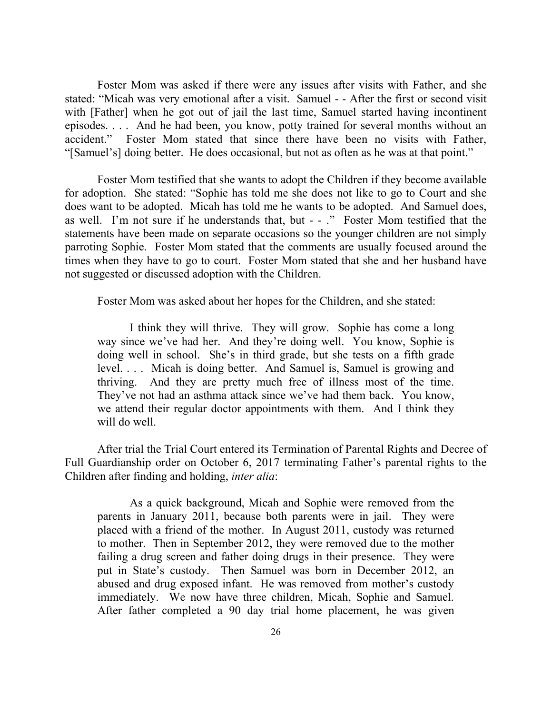Foster Mom was asked if there were any issues after visits with Father, and she stated: "Micah was very emotional after a visit. Samuel - - After the first or second visit with [Father] when he got out of jail the last time, Samuel started having incontinent episodes. . . . And he had been, you know, potty trained for several months without an accident." Foster Mom stated that since there have been no visits with Father, "[Samuel's] doing better. He does occasional, but not as often as he was at that point."

Foster Mom testified that she wants to adopt the Children if they become available for adoption. She stated: "Sophie has told me she does not like to go to Court and she does want to be adopted. Micah has told me he wants to be adopted. And Samuel does, as well. I'm not sure if he understands that, but - - ." Foster Mom testified that the statements have been made on separate occasions so the younger children are not simply parroting Sophie. Foster Mom stated that the comments are usually focused around the times when they have to go to court. Foster Mom stated that she and her husband have not suggested or discussed adoption with the Children.

Foster Mom was asked about her hopes for the Children, and she stated:

I think they will thrive. They will grow. Sophie has come a long way since we've had her. And they're doing well. You know, Sophie is doing well in school. She's in third grade, but she tests on a fifth grade level. . . . Micah is doing better. And Samuel is, Samuel is growing and thriving. And they are pretty much free of illness most of the time. They've not had an asthma attack since we've had them back. You know, we attend their regular doctor appointments with them. And I think they will do well.

After trial the Trial Court entered its Termination of Parental Rights and Decree of Full Guardianship order on October 6, 2017 terminating Father's parental rights to the Children after finding and holding, *inter alia*:

As a quick background, Micah and Sophie were removed from the parents in January 2011, because both parents were in jail. They were placed with a friend of the mother. In August 2011, custody was returned to mother. Then in September 2012, they were removed due to the mother failing a drug screen and father doing drugs in their presence. They were put in State's custody. Then Samuel was born in December 2012, an abused and drug exposed infant. He was removed from mother's custody immediately. We now have three children, Micah, Sophie and Samuel. After father completed a 90 day trial home placement, he was given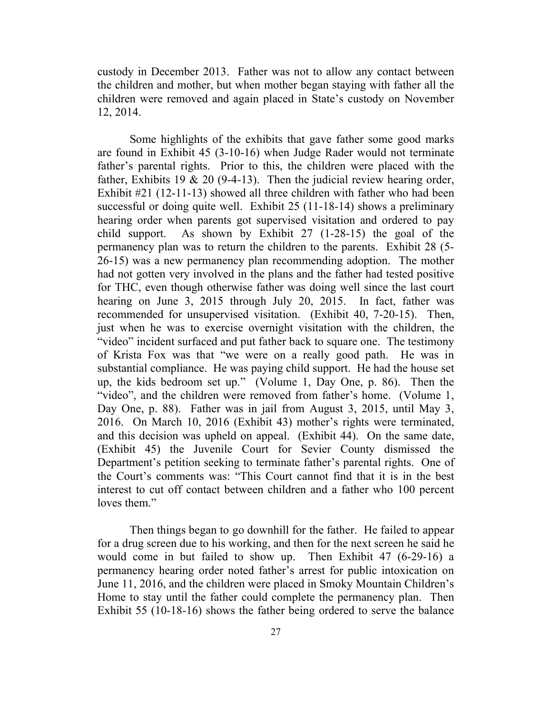custody in December 2013. Father was not to allow any contact between the children and mother, but when mother began staying with father all the children were removed and again placed in State's custody on November 12, 2014.

Some highlights of the exhibits that gave father some good marks are found in Exhibit 45 (3-10-16) when Judge Rader would not terminate father's parental rights. Prior to this, the children were placed with the father, Exhibits 19  $\&$  20 (9-4-13). Then the judicial review hearing order, Exhibit #21 (12-11-13) showed all three children with father who had been successful or doing quite well. Exhibit 25 (11-18-14) shows a preliminary hearing order when parents got supervised visitation and ordered to pay child support. As shown by Exhibit 27 (1-28-15) the goal of the permanency plan was to return the children to the parents. Exhibit 28 (5- 26-15) was a new permanency plan recommending adoption. The mother had not gotten very involved in the plans and the father had tested positive for THC, even though otherwise father was doing well since the last court hearing on June 3, 2015 through July 20, 2015. In fact, father was recommended for unsupervised visitation. (Exhibit 40, 7-20-15). Then, just when he was to exercise overnight visitation with the children, the "video" incident surfaced and put father back to square one. The testimony of Krista Fox was that "we were on a really good path. He was in substantial compliance. He was paying child support. He had the house set up, the kids bedroom set up." (Volume 1, Day One, p. 86). Then the "video", and the children were removed from father's home. (Volume 1, Day One, p. 88). Father was in jail from August 3, 2015, until May 3, 2016. On March 10, 2016 (Exhibit 43) mother's rights were terminated, and this decision was upheld on appeal. (Exhibit 44). On the same date, (Exhibit 45) the Juvenile Court for Sevier County dismissed the Department's petition seeking to terminate father's parental rights. One of the Court's comments was: "This Court cannot find that it is in the best interest to cut off contact between children and a father who 100 percent loves them<sup>"</sup>

Then things began to go downhill for the father. He failed to appear for a drug screen due to his working, and then for the next screen he said he would come in but failed to show up. Then Exhibit 47 (6-29-16) a permanency hearing order noted father's arrest for public intoxication on June 11, 2016, and the children were placed in Smoky Mountain Children's Home to stay until the father could complete the permanency plan. Then Exhibit 55 (10-18-16) shows the father being ordered to serve the balance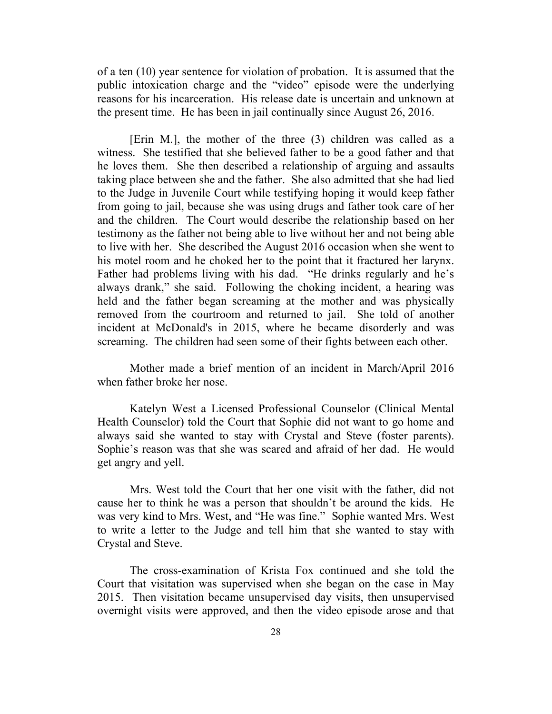of a ten (10) year sentence for violation of probation. It is assumed that the public intoxication charge and the "video" episode were the underlying reasons for his incarceration. His release date is uncertain and unknown at the present time. He has been in jail continually since August 26, 2016.

[Erin M.], the mother of the three (3) children was called as a witness. She testified that she believed father to be a good father and that he loves them. She then described a relationship of arguing and assaults taking place between she and the father. She also admitted that she had lied to the Judge in Juvenile Court while testifying hoping it would keep father from going to jail, because she was using drugs and father took care of her and the children. The Court would describe the relationship based on her testimony as the father not being able to live without her and not being able to live with her. She described the August 2016 occasion when she went to his motel room and he choked her to the point that it fractured her larynx. Father had problems living with his dad. "He drinks regularly and he's always drank," she said. Following the choking incident, a hearing was held and the father began screaming at the mother and was physically removed from the courtroom and returned to jail. She told of another incident at McDonald's in 2015, where he became disorderly and was screaming. The children had seen some of their fights between each other.

Mother made a brief mention of an incident in March/April 2016 when father broke her nose.

Katelyn West a Licensed Professional Counselor (Clinical Mental Health Counselor) told the Court that Sophie did not want to go home and always said she wanted to stay with Crystal and Steve (foster parents). Sophie's reason was that she was scared and afraid of her dad. He would get angry and yell.

Mrs. West told the Court that her one visit with the father, did not cause her to think he was a person that shouldn't be around the kids. He was very kind to Mrs. West, and "He was fine." Sophie wanted Mrs. West to write a letter to the Judge and tell him that she wanted to stay with Crystal and Steve.

The cross-examination of Krista Fox continued and she told the Court that visitation was supervised when she began on the case in May 2015. Then visitation became unsupervised day visits, then unsupervised overnight visits were approved, and then the video episode arose and that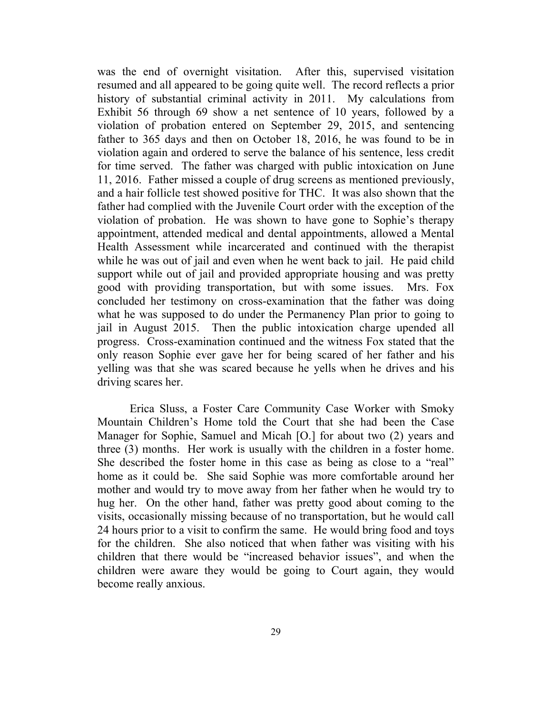was the end of overnight visitation. After this, supervised visitation resumed and all appeared to be going quite well. The record reflects a prior history of substantial criminal activity in 2011. My calculations from Exhibit 56 through 69 show a net sentence of 10 years, followed by a violation of probation entered on September 29, 2015, and sentencing father to 365 days and then on October 18, 2016, he was found to be in violation again and ordered to serve the balance of his sentence, less credit for time served. The father was charged with public intoxication on June 11, 2016. Father missed a couple of drug screens as mentioned previously, and a hair follicle test showed positive for THC. It was also shown that the father had complied with the Juvenile Court order with the exception of the violation of probation. He was shown to have gone to Sophie's therapy appointment, attended medical and dental appointments, allowed a Mental Health Assessment while incarcerated and continued with the therapist while he was out of jail and even when he went back to jail. He paid child support while out of jail and provided appropriate housing and was pretty good with providing transportation, but with some issues. Mrs. Fox concluded her testimony on cross-examination that the father was doing what he was supposed to do under the Permanency Plan prior to going to jail in August 2015. Then the public intoxication charge upended all progress. Cross-examination continued and the witness Fox stated that the only reason Sophie ever gave her for being scared of her father and his yelling was that she was scared because he yells when he drives and his driving scares her.

Erica Sluss, a Foster Care Community Case Worker with Smoky Mountain Children's Home told the Court that she had been the Case Manager for Sophie, Samuel and Micah [O.] for about two (2) years and three (3) months. Her work is usually with the children in a foster home. She described the foster home in this case as being as close to a "real" home as it could be. She said Sophie was more comfortable around her mother and would try to move away from her father when he would try to hug her. On the other hand, father was pretty good about coming to the visits, occasionally missing because of no transportation, but he would call 24 hours prior to a visit to confirm the same. He would bring food and toys for the children. She also noticed that when father was visiting with his children that there would be "increased behavior issues", and when the children were aware they would be going to Court again, they would become really anxious.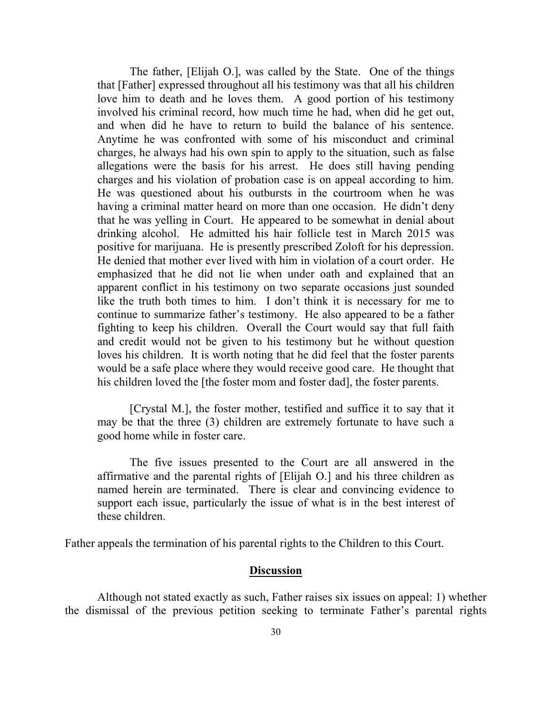The father, [Elijah O.], was called by the State. One of the things that [Father] expressed throughout all his testimony was that all his children love him to death and he loves them. A good portion of his testimony involved his criminal record, how much time he had, when did he get out, and when did he have to return to build the balance of his sentence. Anytime he was confronted with some of his misconduct and criminal charges, he always had his own spin to apply to the situation, such as false allegations were the basis for his arrest. He does still having pending charges and his violation of probation case is on appeal according to him. He was questioned about his outbursts in the courtroom when he was having a criminal matter heard on more than one occasion. He didn't deny that he was yelling in Court. He appeared to be somewhat in denial about drinking alcohol. He admitted his hair follicle test in March 2015 was positive for marijuana. He is presently prescribed Zoloft for his depression. He denied that mother ever lived with him in violation of a court order. He emphasized that he did not lie when under oath and explained that an apparent conflict in his testimony on two separate occasions just sounded like the truth both times to him. I don't think it is necessary for me to continue to summarize father's testimony. He also appeared to be a father fighting to keep his children. Overall the Court would say that full faith and credit would not be given to his testimony but he without question loves his children. It is worth noting that he did feel that the foster parents would be a safe place where they would receive good care. He thought that his children loved the [the foster mom and foster dad], the foster parents.

[Crystal M.], the foster mother, testified and suffice it to say that it may be that the three (3) children are extremely fortunate to have such a good home while in foster care.

The five issues presented to the Court are all answered in the affirmative and the parental rights of [Elijah O.] and his three children as named herein are terminated. There is clear and convincing evidence to support each issue, particularly the issue of what is in the best interest of these children.

Father appeals the termination of his parental rights to the Children to this Court.

#### **Discussion**

Although not stated exactly as such, Father raises six issues on appeal: 1) whether the dismissal of the previous petition seeking to terminate Father's parental rights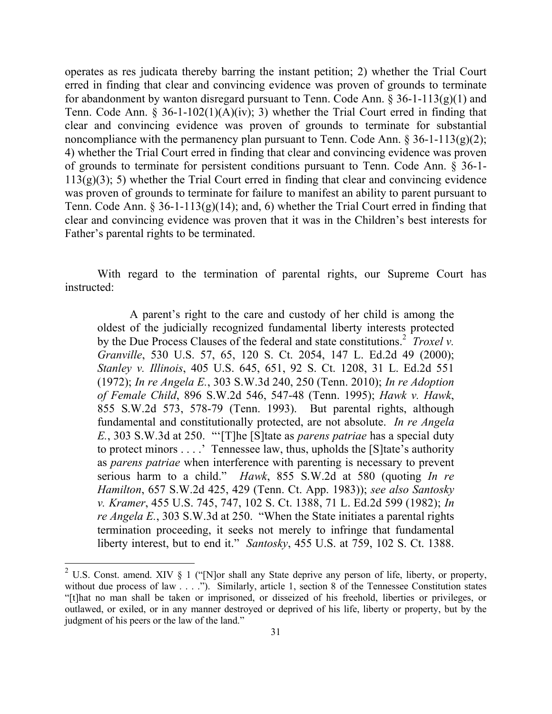operates as res judicata thereby barring the instant petition; 2) whether the Trial Court erred in finding that clear and convincing evidence was proven of grounds to terminate for abandonment by wanton disregard pursuant to Tenn. Code Ann. § 36-1-113(g)(1) and Tenn. Code Ann. § 36-1-102(1)(A)(iv); 3) whether the Trial Court erred in finding that clear and convincing evidence was proven of grounds to terminate for substantial noncompliance with the permanency plan pursuant to Tenn. Code Ann.  $\S 36-1-113(g)(2)$ ; 4) whether the Trial Court erred in finding that clear and convincing evidence was proven of grounds to terminate for persistent conditions pursuant to Tenn. Code Ann. § 36-1-  $113(g)(3)$ ; 5) whether the Trial Court erred in finding that clear and convincing evidence was proven of grounds to terminate for failure to manifest an ability to parent pursuant to Tenn. Code Ann.  $\S 36-1-113(g)(14)$ ; and, 6) whether the Trial Court erred in finding that clear and convincing evidence was proven that it was in the Children's best interests for Father's parental rights to be terminated.

With regard to the termination of parental rights, our Supreme Court has instructed:

A parent's right to the care and custody of her child is among the oldest of the judicially recognized fundamental liberty interests protected by the Due Process Clauses of the federal and state constitutions.<sup>2</sup> *Troxel v. Granville*, 530 U.S. 57, 65, 120 S. Ct. 2054, 147 L. Ed.2d 49 (2000); *Stanley v. Illinois*, 405 U.S. 645, 651, 92 S. Ct. 1208, 31 L. Ed.2d 551 (1972); *In re Angela E.*, 303 S.W.3d 240, 250 (Tenn. 2010); *In re Adoption of Female Child*, 896 S.W.2d 546, 547-48 (Tenn. 1995); *Hawk v. Hawk*, 855 S.W.2d 573, 578-79 (Tenn. 1993). But parental rights, although fundamental and constitutionally protected, are not absolute. *In re Angela E.*, 303 S.W.3d at 250. "'[T]he [S]tate as *parens patriae* has a special duty to protect minors . . . .' Tennessee law, thus, upholds the [S]tate's authority as *parens patriae* when interference with parenting is necessary to prevent serious harm to a child." *Hawk*, 855 S.W.2d at 580 (quoting *In re Hamilton*, 657 S.W.2d 425, 429 (Tenn. Ct. App. 1983)); *see also Santosky v. Kramer*, 455 U.S. 745, 747, 102 S. Ct. 1388, 71 L. Ed.2d 599 (1982); *In re Angela E.*, 303 S.W.3d at 250. "When the State initiates a parental rights termination proceeding, it seeks not merely to infringe that fundamental liberty interest, but to end it." *Santosky*, 455 U.S. at 759, 102 S. Ct. 1388.

l

<sup>&</sup>lt;sup>2</sup> U.S. Const. amend. XIV § 1 ("[N]or shall any State deprive any person of life, liberty, or property, without due process of law . . . ."). Similarly, article 1, section 8 of the Tennessee Constitution states "[t]hat no man shall be taken or imprisoned, or disseized of his freehold, liberties or privileges, or outlawed, or exiled, or in any manner destroyed or deprived of his life, liberty or property, but by the judgment of his peers or the law of the land."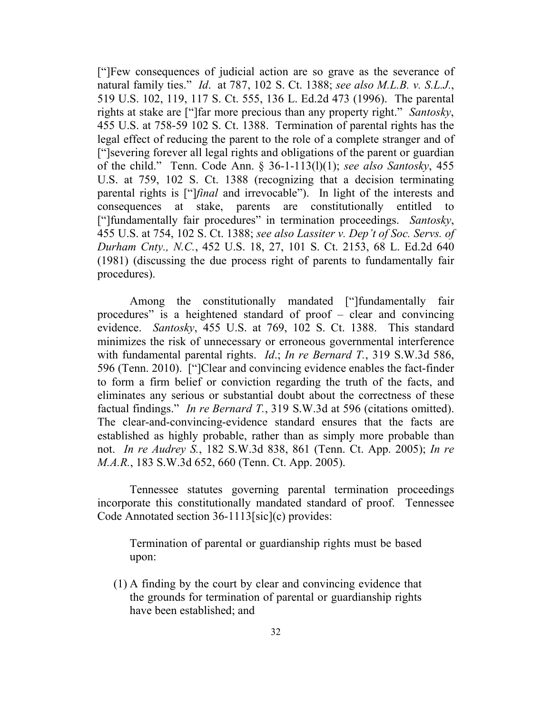["]Few consequences of judicial action are so grave as the severance of natural family ties." *Id*. at 787, 102 S. Ct. 1388; *see also M.L.B. v. S.L.J.*, 519 U.S. 102, 119, 117 S. Ct. 555, 136 L. Ed.2d 473 (1996). The parental rights at stake are ["]far more precious than any property right." *Santosky*, 455 U.S. at 758-59 102 S. Ct. 1388. Termination of parental rights has the legal effect of reducing the parent to the role of a complete stranger and of ["]severing forever all legal rights and obligations of the parent or guardian of the child." Tenn. Code Ann. § 36-1-113(l)(1); *see also Santosky*, 455 U.S. at 759, 102 S. Ct. 1388 (recognizing that a decision terminating parental rights is ["]*final* and irrevocable"). In light of the interests and consequences at stake, parents are constitutionally entitled to ["]fundamentally fair procedures" in termination proceedings. *Santosky*, 455 U.S. at 754, 102 S. Ct. 1388; *see also Lassiter v. Dep't of Soc. Servs. of Durham Cnty., N.C.*, 452 U.S. 18, 27, 101 S. Ct. 2153, 68 L. Ed.2d 640 (1981) (discussing the due process right of parents to fundamentally fair procedures).

Among the constitutionally mandated ["]fundamentally fair procedures" is a heightened standard of proof – clear and convincing evidence. *Santosky*, 455 U.S. at 769, 102 S. Ct. 1388. This standard minimizes the risk of unnecessary or erroneous governmental interference with fundamental parental rights. *Id*.; *In re Bernard T.*, 319 S.W.3d 586, 596 (Tenn. 2010). ["]Clear and convincing evidence enables the fact-finder to form a firm belief or conviction regarding the truth of the facts, and eliminates any serious or substantial doubt about the correctness of these factual findings." *In re Bernard T.*, 319 S.W.3d at 596 (citations omitted). The clear-and-convincing-evidence standard ensures that the facts are established as highly probable, rather than as simply more probable than not. *In re Audrey S.*, 182 S.W.3d 838, 861 (Tenn. Ct. App. 2005); *In re M.A.R.*, 183 S.W.3d 652, 660 (Tenn. Ct. App. 2005).

Tennessee statutes governing parental termination proceedings incorporate this constitutionally mandated standard of proof. Tennessee Code Annotated section 36-1113[sic](c) provides:

Termination of parental or guardianship rights must be based upon:

(1) A finding by the court by clear and convincing evidence that the grounds for termination of parental or guardianship rights have been established; and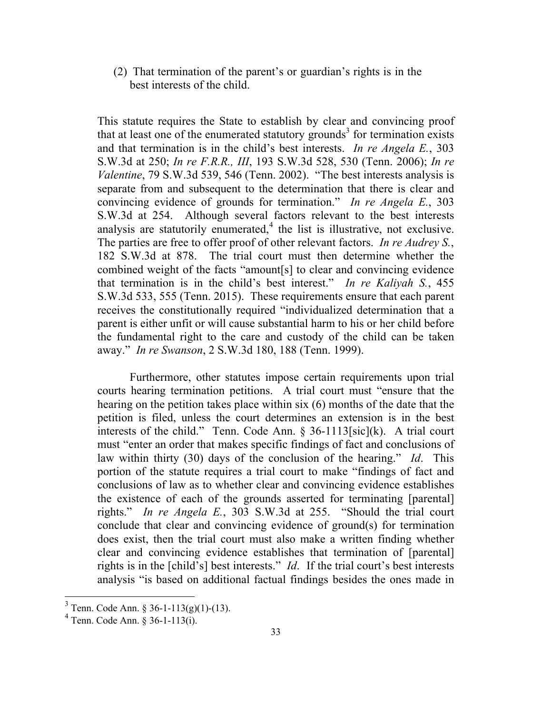(2) That termination of the parent's or guardian's rights is in the best interests of the child.

This statute requires the State to establish by clear and convincing proof that at least one of the enumerated statutory grounds<sup>3</sup> for termination exists and that termination is in the child's best interests. *In re Angela E.*, 303 S.W.3d at 250; *In re F.R.R., III*, 193 S.W.3d 528, 530 (Tenn. 2006); *In re Valentine*, 79 S.W.3d 539, 546 (Tenn. 2002). "The best interests analysis is separate from and subsequent to the determination that there is clear and convincing evidence of grounds for termination." *In re Angela E.*, 303 S.W.3d at 254. Although several factors relevant to the best interests analysis are statutorily enumerated,<sup>4</sup> the list is illustrative, not exclusive. The parties are free to offer proof of other relevant factors. *In re Audrey S.*, 182 S.W.3d at 878. The trial court must then determine whether the combined weight of the facts "amount[s] to clear and convincing evidence that termination is in the child's best interest." *In re Kaliyah S.*, 455 S.W.3d 533, 555 (Tenn. 2015). These requirements ensure that each parent receives the constitutionally required "individualized determination that a parent is either unfit or will cause substantial harm to his or her child before the fundamental right to the care and custody of the child can be taken away." *In re Swanson*, 2 S.W.3d 180, 188 (Tenn. 1999).

Furthermore, other statutes impose certain requirements upon trial courts hearing termination petitions. A trial court must "ensure that the hearing on the petition takes place within six (6) months of the date that the petition is filed, unless the court determines an extension is in the best interests of the child." Tenn. Code Ann. § 36-1113[sic](k). A trial court must "enter an order that makes specific findings of fact and conclusions of law within thirty (30) days of the conclusion of the hearing." *Id*. This portion of the statute requires a trial court to make "findings of fact and conclusions of law as to whether clear and convincing evidence establishes the existence of each of the grounds asserted for terminating [parental] rights." *In re Angela E.*, 303 S.W.3d at 255. "Should the trial court conclude that clear and convincing evidence of ground(s) for termination does exist, then the trial court must also make a written finding whether clear and convincing evidence establishes that termination of [parental] rights is in the [child's] best interests." *Id*. If the trial court's best interests analysis "is based on additional factual findings besides the ones made in

 3 Tenn. Code Ann. § 36-1-113(g)(1)-(13).

<sup>4</sup> Tenn. Code Ann. § 36-1-113(i).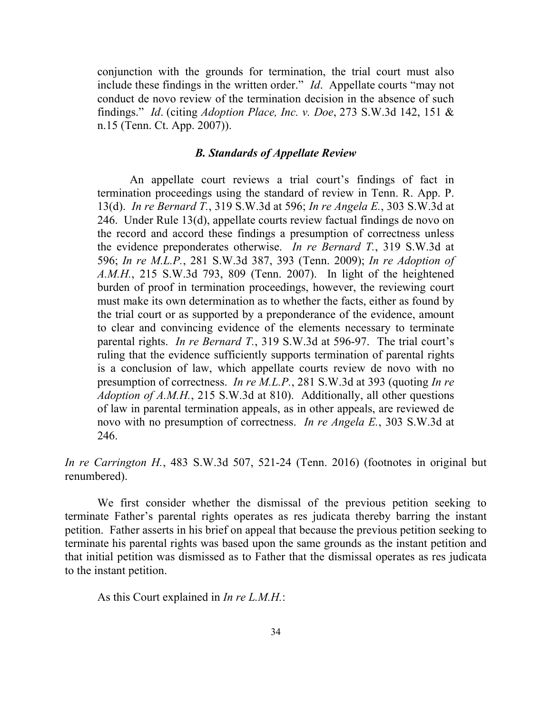conjunction with the grounds for termination, the trial court must also include these findings in the written order." *Id*. Appellate courts "may not conduct de novo review of the termination decision in the absence of such findings." *Id*. (citing *Adoption Place, Inc. v. Doe*, 273 S.W.3d 142, 151 & n.15 (Tenn. Ct. App. 2007)).

#### *B. Standards of Appellate Review*

An appellate court reviews a trial court's findings of fact in termination proceedings using the standard of review in Tenn. R. App. P. 13(d). *In re Bernard T.*, 319 S.W.3d at 596; *In re Angela E.*, 303 S.W.3d at 246. Under Rule 13(d), appellate courts review factual findings de novo on the record and accord these findings a presumption of correctness unless the evidence preponderates otherwise. *In re Bernard T.*, 319 S.W.3d at 596; *In re M.L.P.*, 281 S.W.3d 387, 393 (Tenn. 2009); *In re Adoption of A.M.H.*, 215 S.W.3d 793, 809 (Tenn. 2007). In light of the heightened burden of proof in termination proceedings, however, the reviewing court must make its own determination as to whether the facts, either as found by the trial court or as supported by a preponderance of the evidence, amount to clear and convincing evidence of the elements necessary to terminate parental rights. *In re Bernard T.*, 319 S.W.3d at 596-97. The trial court's ruling that the evidence sufficiently supports termination of parental rights is a conclusion of law, which appellate courts review de novo with no presumption of correctness. *In re M.L.P.*, 281 S.W.3d at 393 (quoting *In re Adoption of A.M.H.*, 215 S.W.3d at 810). Additionally, all other questions of law in parental termination appeals, as in other appeals, are reviewed de novo with no presumption of correctness. *In re Angela E.*, 303 S.W.3d at 246.

*In re Carrington H.*, 483 S.W.3d 507, 521-24 (Tenn. 2016) (footnotes in original but renumbered).

We first consider whether the dismissal of the previous petition seeking to terminate Father's parental rights operates as res judicata thereby barring the instant petition. Father asserts in his brief on appeal that because the previous petition seeking to terminate his parental rights was based upon the same grounds as the instant petition and that initial petition was dismissed as to Father that the dismissal operates as res judicata to the instant petition.

As this Court explained in *In re L.M.H.*: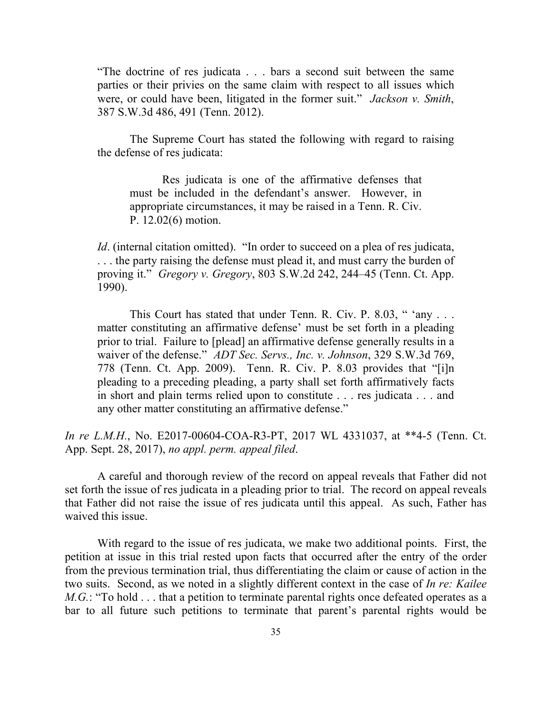"The doctrine of res judicata . . . bars a second suit between the same parties or their privies on the same claim with respect to all issues which were, or could have been, litigated in the former suit." *Jackson v. Smith*, 387 S.W.3d 486, 491 (Tenn. 2012).

The Supreme Court has stated the following with regard to raising the defense of res judicata:

Res judicata is one of the affirmative defenses that must be included in the defendant's answer. However, in appropriate circumstances, it may be raised in a Tenn. R. Civ. P. 12.02(6) motion.

*Id.* (internal citation omitted). "In order to succeed on a plea of res judicata, . . . the party raising the defense must plead it, and must carry the burden of proving it." *Gregory v. Gregory*, 803 S.W.2d 242, 244–45 (Tenn. Ct. App. 1990).

This Court has stated that under Tenn. R. Civ. P. 8.03, " 'any . . . matter constituting an affirmative defense' must be set forth in a pleading prior to trial. Failure to [plead] an affirmative defense generally results in a waiver of the defense." *ADT Sec. Servs., Inc. v. Johnson*, 329 S.W.3d 769, 778 (Tenn. Ct. App. 2009). Tenn. R. Civ. P. 8.03 provides that "[i]n pleading to a preceding pleading, a party shall set forth affirmatively facts in short and plain terms relied upon to constitute . . . res judicata . . . and any other matter constituting an affirmative defense."

*In re L.M.H.*, No. E2017-00604-COA-R3-PT, 2017 WL 4331037, at \*\*4-5 (Tenn. Ct. App. Sept. 28, 2017), *no appl. perm. appeal filed*.

A careful and thorough review of the record on appeal reveals that Father did not set forth the issue of res judicata in a pleading prior to trial. The record on appeal reveals that Father did not raise the issue of res judicata until this appeal. As such, Father has waived this issue.

With regard to the issue of res judicata, we make two additional points. First, the petition at issue in this trial rested upon facts that occurred after the entry of the order from the previous termination trial, thus differentiating the claim or cause of action in the two suits. Second, as we noted in a slightly different context in the case of *In re: Kailee M.G.*: "To hold . . . that a petition to terminate parental rights once defeated operates as a bar to all future such petitions to terminate that parent's parental rights would be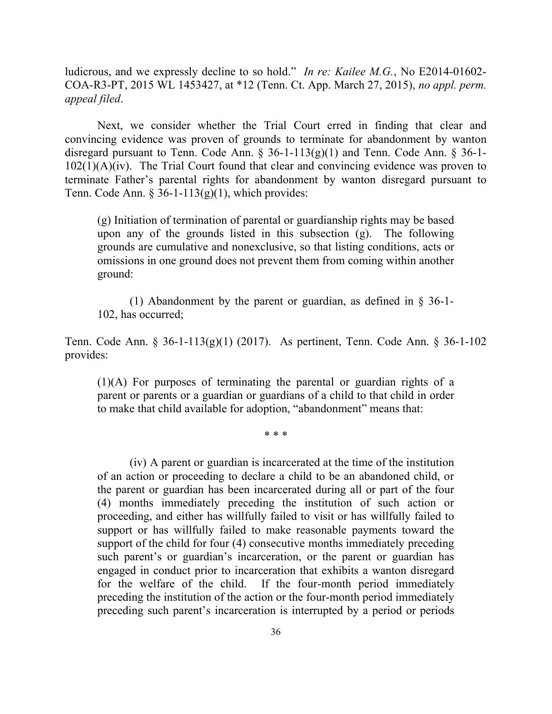ludicrous, and we expressly decline to so hold." *In re: Kailee M.G.*, No E2014-01602- COA-R3-PT, 2015 WL 1453427, at \*12 (Tenn. Ct. App. March 27, 2015), *no appl. perm. appeal filed*.

Next, we consider whether the Trial Court erred in finding that clear and convincing evidence was proven of grounds to terminate for abandonment by wanton disregard pursuant to Tenn. Code Ann. § 36-1-113(g)(1) and Tenn. Code Ann. § 36-1- 102(1)(A)(iv). The Trial Court found that clear and convincing evidence was proven to terminate Father's parental rights for abandonment by wanton disregard pursuant to Tenn. Code Ann. § 36-1-113 $(g)(1)$ , which provides:

(g) Initiation of termination of parental or guardianship rights may be based upon any of the grounds listed in this subsection (g). The following grounds are cumulative and nonexclusive, so that listing conditions, acts or omissions in one ground does not prevent them from coming within another ground:

(1) Abandonment by the parent or guardian, as defined in § 36-1- 102, has occurred;

Tenn. Code Ann. § 36-1-113(g)(1) (2017). As pertinent, Tenn. Code Ann. § 36-1-102 provides:

(1)(A) For purposes of terminating the parental or guardian rights of a parent or parents or a guardian or guardians of a child to that child in order to make that child available for adoption, "abandonment" means that:

\* \* \*

(iv) A parent or guardian is incarcerated at the time of the institution of an action or proceeding to declare a child to be an abandoned child, or the parent or guardian has been incarcerated during all or part of the four (4) months immediately preceding the institution of such action or proceeding, and either has willfully failed to visit or has willfully failed to support or has willfully failed to make reasonable payments toward the support of the child for four (4) consecutive months immediately preceding such parent's or guardian's incarceration, or the parent or guardian has engaged in conduct prior to incarceration that exhibits a wanton disregard for the welfare of the child. If the four-month period immediately preceding the institution of the action or the four-month period immediately preceding such parent's incarceration is interrupted by a period or periods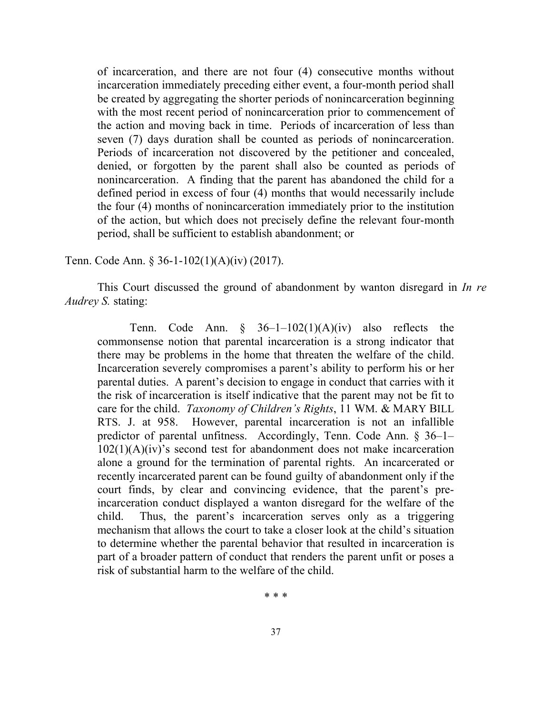of incarceration, and there are not four (4) consecutive months without incarceration immediately preceding either event, a four-month period shall be created by aggregating the shorter periods of nonincarceration beginning with the most recent period of nonincarceration prior to commencement of the action and moving back in time. Periods of incarceration of less than seven (7) days duration shall be counted as periods of nonincarceration. Periods of incarceration not discovered by the petitioner and concealed, denied, or forgotten by the parent shall also be counted as periods of nonincarceration. A finding that the parent has abandoned the child for a defined period in excess of four (4) months that would necessarily include the four (4) months of nonincarceration immediately prior to the institution of the action, but which does not precisely define the relevant four-month period, shall be sufficient to establish abandonment; or

Tenn. Code Ann. § 36-1-102(1)(A)(iv) (2017).

This Court discussed the ground of abandonment by wanton disregard in *In re Audrey S.* stating:

Tenn. Code Ann.  $\S$  36-1-102(1)(A)(iv) also reflects the commonsense notion that parental incarceration is a strong indicator that there may be problems in the home that threaten the welfare of the child. Incarceration severely compromises a parent's ability to perform his or her parental duties. A parent's decision to engage in conduct that carries with it the risk of incarceration is itself indicative that the parent may not be fit to care for the child. *Taxonomy of Children's Rights*, 11 WM. & MARY BILL RTS. J. at 958. However, parental incarceration is not an infallible predictor of parental unfitness. Accordingly, Tenn. Code Ann. § 36–1–  $102(1)(A)(iv)$ 's second test for abandonment does not make incarceration alone a ground for the termination of parental rights. An incarcerated or recently incarcerated parent can be found guilty of abandonment only if the court finds, by clear and convincing evidence, that the parent's preincarceration conduct displayed a wanton disregard for the welfare of the child. Thus, the parent's incarceration serves only as a triggering mechanism that allows the court to take a closer look at the child's situation to determine whether the parental behavior that resulted in incarceration is part of a broader pattern of conduct that renders the parent unfit or poses a risk of substantial harm to the welfare of the child.

\* \* \*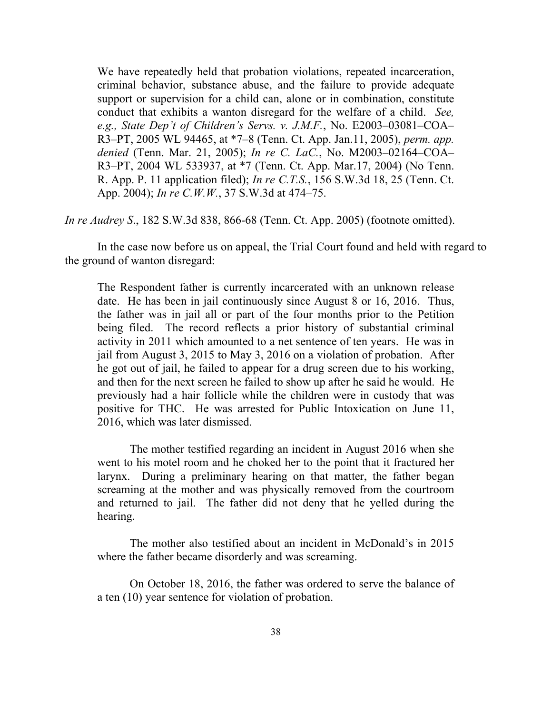We have repeatedly held that probation violations, repeated incarceration, criminal behavior, substance abuse, and the failure to provide adequate support or supervision for a child can, alone or in combination, constitute conduct that exhibits a wanton disregard for the welfare of a child. *See, e.g., State Dep't of Children's Servs. v. J.M.F.*, No. E2003–03081–COA– R3–PT, 2005 WL 94465, at \*7–8 (Tenn. Ct. App. Jan.11, 2005), *perm. app. denied* (Tenn. Mar. 21, 2005); *In re C. LaC.*, No. M2003–02164–COA– R3–PT, 2004 WL 533937, at \*7 (Tenn. Ct. App. Mar.17, 2004) (No Tenn. R. App. P. 11 application filed); *In re C.T.S.*, 156 S.W.3d 18, 25 (Tenn. Ct. App. 2004); *In re C.W.W.*, 37 S.W.3d at 474–75.

*In re Audrey S*., 182 S.W.3d 838, 866-68 (Tenn. Ct. App. 2005) (footnote omitted).

In the case now before us on appeal, the Trial Court found and held with regard to the ground of wanton disregard:

The Respondent father is currently incarcerated with an unknown release date. He has been in jail continuously since August 8 or 16, 2016. Thus, the father was in jail all or part of the four months prior to the Petition being filed. The record reflects a prior history of substantial criminal activity in 2011 which amounted to a net sentence of ten years. He was in jail from August 3, 2015 to May 3, 2016 on a violation of probation. After he got out of jail, he failed to appear for a drug screen due to his working, and then for the next screen he failed to show up after he said he would. He previously had a hair follicle while the children were in custody that was positive for THC. He was arrested for Public Intoxication on June 11, 2016, which was later dismissed.

The mother testified regarding an incident in August 2016 when she went to his motel room and he choked her to the point that it fractured her larynx. During a preliminary hearing on that matter, the father began screaming at the mother and was physically removed from the courtroom and returned to jail. The father did not deny that he yelled during the hearing.

The mother also testified about an incident in McDonald's in 2015 where the father became disorderly and was screaming.

On October 18, 2016, the father was ordered to serve the balance of a ten (10) year sentence for violation of probation.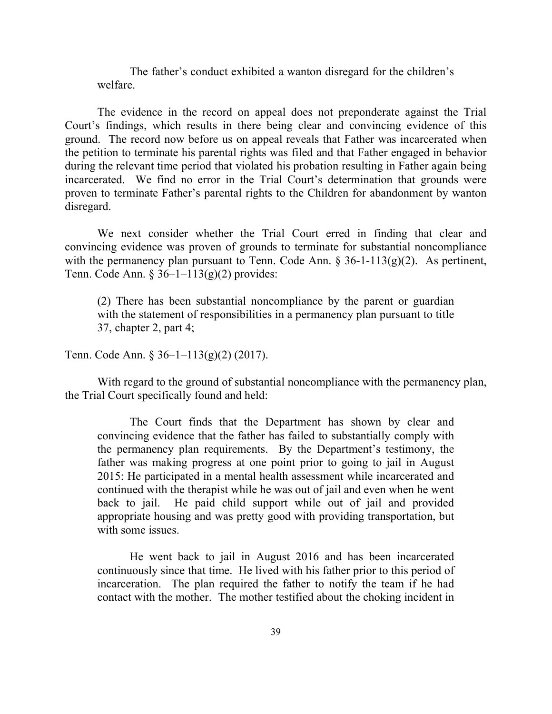The father's conduct exhibited a wanton disregard for the children's welfare.

The evidence in the record on appeal does not preponderate against the Trial Court's findings, which results in there being clear and convincing evidence of this ground. The record now before us on appeal reveals that Father was incarcerated when the petition to terminate his parental rights was filed and that Father engaged in behavior during the relevant time period that violated his probation resulting in Father again being incarcerated. We find no error in the Trial Court's determination that grounds were proven to terminate Father's parental rights to the Children for abandonment by wanton disregard.

We next consider whether the Trial Court erred in finding that clear and convincing evidence was proven of grounds to terminate for substantial noncompliance with the permanency plan pursuant to Tenn. Code Ann. § 36-1-113(g)(2). As pertinent, Tenn. Code Ann. §  $36-1-113(g)(2)$  provides:

(2) There has been substantial noncompliance by the parent or guardian with the statement of responsibilities in a permanency plan pursuant to title 37, chapter 2, part 4;

Tenn. Code Ann. § 36–1–113(g)(2) (2017).

With regard to the ground of substantial noncompliance with the permanency plan, the Trial Court specifically found and held:

The Court finds that the Department has shown by clear and convincing evidence that the father has failed to substantially comply with the permanency plan requirements. By the Department's testimony, the father was making progress at one point prior to going to jail in August 2015: He participated in a mental health assessment while incarcerated and continued with the therapist while he was out of jail and even when he went back to jail. He paid child support while out of jail and provided appropriate housing and was pretty good with providing transportation, but with some issues.

He went back to jail in August 2016 and has been incarcerated continuously since that time. He lived with his father prior to this period of incarceration. The plan required the father to notify the team if he had contact with the mother. The mother testified about the choking incident in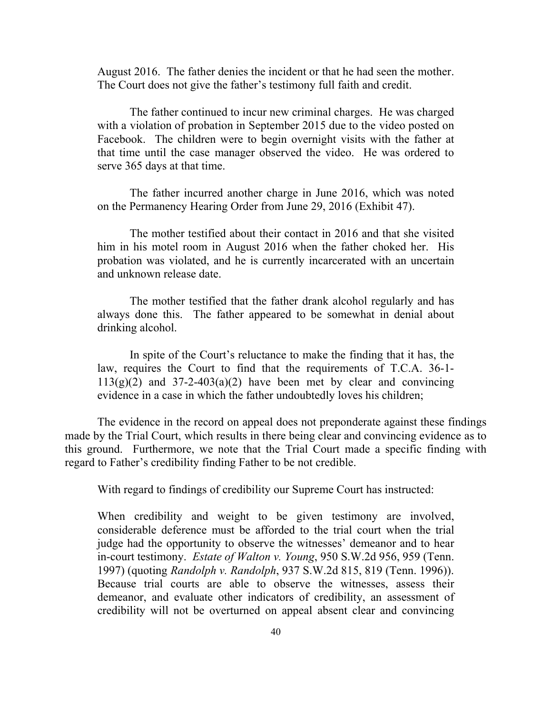August 2016. The father denies the incident or that he had seen the mother. The Court does not give the father's testimony full faith and credit.

The father continued to incur new criminal charges. He was charged with a violation of probation in September 2015 due to the video posted on Facebook. The children were to begin overnight visits with the father at that time until the case manager observed the video. He was ordered to serve 365 days at that time.

The father incurred another charge in June 2016, which was noted on the Permanency Hearing Order from June 29, 2016 (Exhibit 47).

The mother testified about their contact in 2016 and that she visited him in his motel room in August 2016 when the father choked her. His probation was violated, and he is currently incarcerated with an uncertain and unknown release date.

The mother testified that the father drank alcohol regularly and has always done this. The father appeared to be somewhat in denial about drinking alcohol.

In spite of the Court's reluctance to make the finding that it has, the law, requires the Court to find that the requirements of T.C.A. 36-1-  $113(g)(2)$  and  $37-2-403(a)(2)$  have been met by clear and convincing evidence in a case in which the father undoubtedly loves his children;

The evidence in the record on appeal does not preponderate against these findings made by the Trial Court, which results in there being clear and convincing evidence as to this ground. Furthermore, we note that the Trial Court made a specific finding with regard to Father's credibility finding Father to be not credible.

With regard to findings of credibility our Supreme Court has instructed:

When credibility and weight to be given testimony are involved, considerable deference must be afforded to the trial court when the trial judge had the opportunity to observe the witnesses' demeanor and to hear in-court testimony. *Estate of Walton v. Young*, 950 S.W.2d 956, 959 (Tenn. 1997) (quoting *Randolph v. Randolph*, 937 S.W.2d 815, 819 (Tenn. 1996)). Because trial courts are able to observe the witnesses, assess their demeanor, and evaluate other indicators of credibility, an assessment of credibility will not be overturned on appeal absent clear and convincing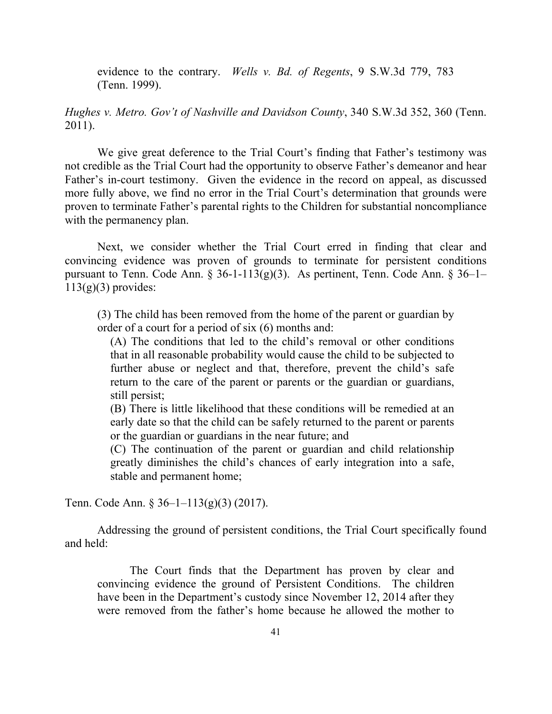evidence to the contrary. *Wells v. Bd. of Regents*, 9 S.W.3d 779, 783 (Tenn. 1999).

*Hughes v. Metro. Gov't of Nashville and Davidson County*, 340 S.W.3d 352, 360 (Tenn. 2011).

We give great deference to the Trial Court's finding that Father's testimony was not credible as the Trial Court had the opportunity to observe Father's demeanor and hear Father's in-court testimony. Given the evidence in the record on appeal, as discussed more fully above, we find no error in the Trial Court's determination that grounds were proven to terminate Father's parental rights to the Children for substantial noncompliance with the permanency plan.

Next, we consider whether the Trial Court erred in finding that clear and convincing evidence was proven of grounds to terminate for persistent conditions pursuant to Tenn. Code Ann. § 36-1-113(g)(3). As pertinent, Tenn. Code Ann. § 36–1–  $113(g)(3)$  provides:

(3) The child has been removed from the home of the parent or guardian by order of a court for a period of six (6) months and:

(A) The conditions that led to the child's removal or other conditions that in all reasonable probability would cause the child to be subjected to further abuse or neglect and that, therefore, prevent the child's safe return to the care of the parent or parents or the guardian or guardians, still persist;

(B) There is little likelihood that these conditions will be remedied at an early date so that the child can be safely returned to the parent or parents or the guardian or guardians in the near future; and

(C) The continuation of the parent or guardian and child relationship greatly diminishes the child's chances of early integration into a safe, stable and permanent home;

Tenn. Code Ann. § 36–1–113(g)(3) (2017).

Addressing the ground of persistent conditions, the Trial Court specifically found and held:

The Court finds that the Department has proven by clear and convincing evidence the ground of Persistent Conditions. The children have been in the Department's custody since November 12, 2014 after they were removed from the father's home because he allowed the mother to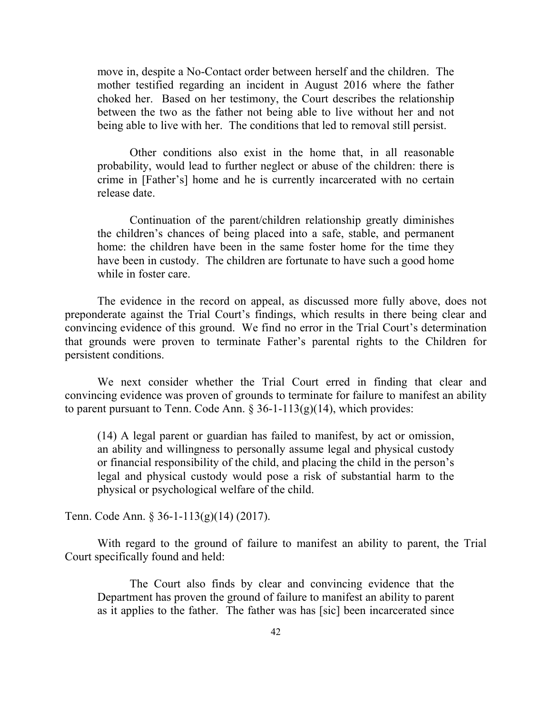move in, despite a No-Contact order between herself and the children. The mother testified regarding an incident in August 2016 where the father choked her. Based on her testimony, the Court describes the relationship between the two as the father not being able to live without her and not being able to live with her. The conditions that led to removal still persist.

Other conditions also exist in the home that, in all reasonable probability, would lead to further neglect or abuse of the children: there is crime in [Father's] home and he is currently incarcerated with no certain release date.

Continuation of the parent/children relationship greatly diminishes the children's chances of being placed into a safe, stable, and permanent home: the children have been in the same foster home for the time they have been in custody. The children are fortunate to have such a good home while in foster care.

The evidence in the record on appeal, as discussed more fully above, does not preponderate against the Trial Court's findings, which results in there being clear and convincing evidence of this ground. We find no error in the Trial Court's determination that grounds were proven to terminate Father's parental rights to the Children for persistent conditions.

We next consider whether the Trial Court erred in finding that clear and convincing evidence was proven of grounds to terminate for failure to manifest an ability to parent pursuant to Tenn. Code Ann.  $\S 36-1-113(g)(14)$ , which provides:

(14) A legal parent or guardian has failed to manifest, by act or omission, an ability and willingness to personally assume legal and physical custody or financial responsibility of the child, and placing the child in the person's legal and physical custody would pose a risk of substantial harm to the physical or psychological welfare of the child.

Tenn. Code Ann. § 36-1-113(g)(14) (2017).

With regard to the ground of failure to manifest an ability to parent, the Trial Court specifically found and held:

The Court also finds by clear and convincing evidence that the Department has proven the ground of failure to manifest an ability to parent as it applies to the father. The father was has [sic] been incarcerated since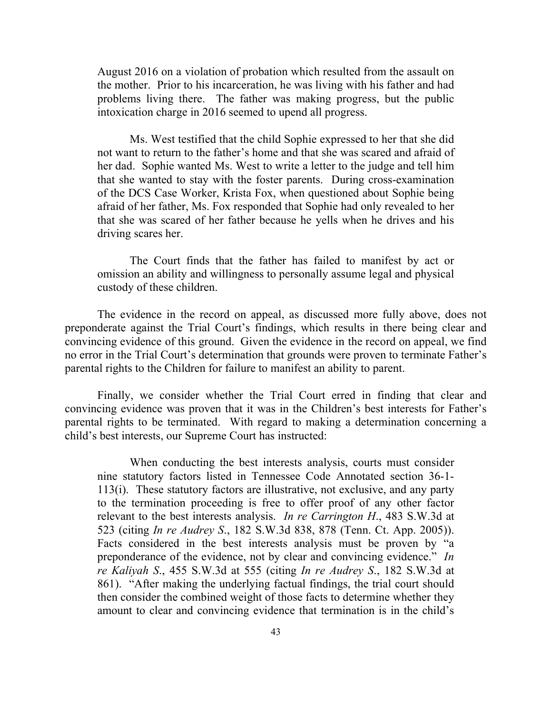August 2016 on a violation of probation which resulted from the assault on the mother. Prior to his incarceration, he was living with his father and had problems living there. The father was making progress, but the public intoxication charge in 2016 seemed to upend all progress.

Ms. West testified that the child Sophie expressed to her that she did not want to return to the father's home and that she was scared and afraid of her dad. Sophie wanted Ms. West to write a letter to the judge and tell him that she wanted to stay with the foster parents. During cross-examination of the DCS Case Worker, Krista Fox, when questioned about Sophie being afraid of her father, Ms. Fox responded that Sophie had only revealed to her that she was scared of her father because he yells when he drives and his driving scares her.

The Court finds that the father has failed to manifest by act or omission an ability and willingness to personally assume legal and physical custody of these children.

The evidence in the record on appeal, as discussed more fully above, does not preponderate against the Trial Court's findings, which results in there being clear and convincing evidence of this ground. Given the evidence in the record on appeal, we find no error in the Trial Court's determination that grounds were proven to terminate Father's parental rights to the Children for failure to manifest an ability to parent.

Finally, we consider whether the Trial Court erred in finding that clear and convincing evidence was proven that it was in the Children's best interests for Father's parental rights to be terminated. With regard to making a determination concerning a child's best interests, our Supreme Court has instructed:

When conducting the best interests analysis, courts must consider nine statutory factors listed in Tennessee Code Annotated section 36-1- 113(i). These statutory factors are illustrative, not exclusive, and any party to the termination proceeding is free to offer proof of any other factor relevant to the best interests analysis. *In re Carrington H*., 483 S.W.3d at 523 (citing *In re Audrey S*., 182 S.W.3d 838, 878 (Tenn. Ct. App. 2005)). Facts considered in the best interests analysis must be proven by "a preponderance of the evidence, not by clear and convincing evidence." *In re Kaliyah S*., 455 S.W.3d at 555 (citing *In re Audrey S*., 182 S.W.3d at 861). "After making the underlying factual findings, the trial court should then consider the combined weight of those facts to determine whether they amount to clear and convincing evidence that termination is in the child's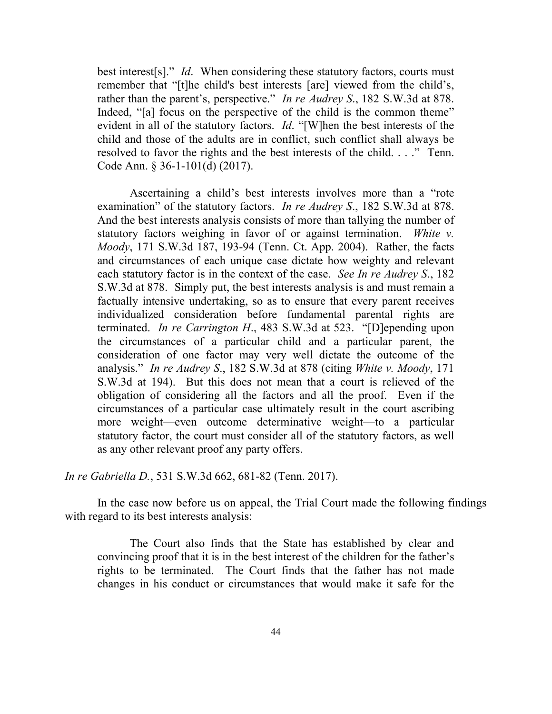best interest[s]." *Id*. When considering these statutory factors, courts must remember that "[t]he child's best interests [are] viewed from the child's, rather than the parent's, perspective." *In re Audrey S*., 182 S.W.3d at 878. Indeed, "[a] focus on the perspective of the child is the common theme" evident in all of the statutory factors. *Id*. "[W]hen the best interests of the child and those of the adults are in conflict, such conflict shall always be resolved to favor the rights and the best interests of the child. . . ." Tenn. Code Ann. § 36-1-101(d) (2017).

Ascertaining a child's best interests involves more than a "rote examination" of the statutory factors. *In re Audrey S*., 182 S.W.3d at 878. And the best interests analysis consists of more than tallying the number of statutory factors weighing in favor of or against termination. *White v. Moody*, 171 S.W.3d 187, 193-94 (Tenn. Ct. App. 2004). Rather, the facts and circumstances of each unique case dictate how weighty and relevant each statutory factor is in the context of the case. *See In re Audrey S*., 182 S.W.3d at 878. Simply put, the best interests analysis is and must remain a factually intensive undertaking, so as to ensure that every parent receives individualized consideration before fundamental parental rights are terminated. *In re Carrington H*., 483 S.W.3d at 523. "[D]epending upon the circumstances of a particular child and a particular parent, the consideration of one factor may very well dictate the outcome of the analysis." *In re Audrey S*., 182 S.W.3d at 878 (citing *White v. Moody*, 171 S.W.3d at 194). But this does not mean that a court is relieved of the obligation of considering all the factors and all the proof. Even if the circumstances of a particular case ultimately result in the court ascribing more weight—even outcome determinative weight—to a particular statutory factor, the court must consider all of the statutory factors, as well as any other relevant proof any party offers.

*In re Gabriella D.*, 531 S.W.3d 662, 681-82 (Tenn. 2017).

In the case now before us on appeal, the Trial Court made the following findings with regard to its best interests analysis:

The Court also finds that the State has established by clear and convincing proof that it is in the best interest of the children for the father's rights to be terminated. The Court finds that the father has not made changes in his conduct or circumstances that would make it safe for the